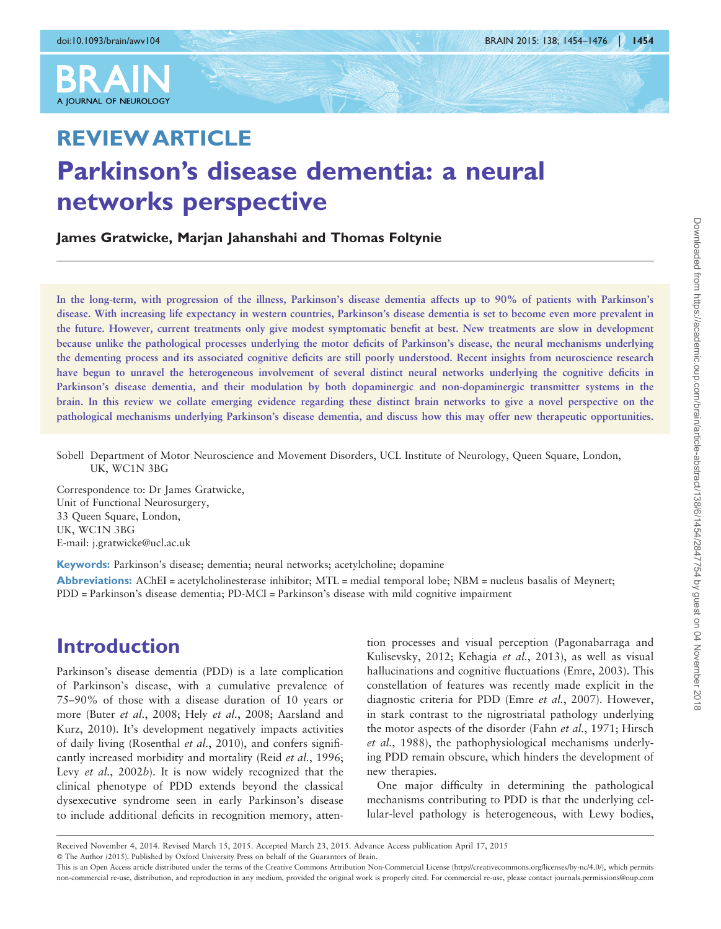

# REVIEWARTICLE Parkinson's disease dementia: a neural networks perspective

James Gratwicke, Marjan Jahanshahi and Thomas Foltynie

In the long-term, with progression of the illness, Parkinson's disease dementia affects up to 90% of patients with Parkinson's disease. With increasing life expectancy in western countries, Parkinson's disease dementia is set to become even more prevalent in the future. However, current treatments only give modest symptomatic benefit at best. New treatments are slow in development because unlike the pathological processes underlying the motor deficits of Parkinson's disease, the neural mechanisms underlying the dementing process and its associated cognitive deficits are still poorly understood. Recent insights from neuroscience research have begun to unravel the heterogeneous involvement of several distinct neural networks underlying the cognitive deficits in Parkinson's disease dementia, and their modulation by both dopaminergic and non-dopaminergic transmitter systems in the brain. In this review we collate emerging evidence regarding these distinct brain networks to give a novel perspective on the pathological mechanisms underlying Parkinson's disease dementia, and discuss how this may offer new therapeutic opportunities.

Sobell Department of Motor Neuroscience and Movement Disorders, UCL Institute of Neurology, Queen Square, London, UK, WC1N 3BG

Correspondence to: Dr James Gratwicke, Unit of Functional Neurosurgery, 33 Queen Square, London, UK, WC1N 3BG E-mail: j.gratwicke@ucl.ac.uk

Keywords: Parkinson's disease; dementia; neural networks; acetylcholine; dopamine

Abbreviations: AChEI = acetylcholinesterase inhibitor; MTL = medial temporal lobe; NBM = nucleus basalis of Meynert; PDD = Parkinson's disease dementia; PD-MCI = Parkinson's disease with mild cognitive impairment

### Introduction

Parkinson's disease dementia (PDD) is a late complication of Parkinson's disease, with a cumulative prevalence of 75–90% of those with a disease duration of 10 years or more (Buter *et al.*[, 2008;](#page-17-0) Hely *et al.*, 2008; [Aarsland and](#page-15-0) [Kurz, 2010\)](#page-15-0). It's development negatively impacts activities of daily living ([Rosenthal](#page-20-0) et al., 2010), and confers significantly increased morbidity and mortality (Reid et al.[, 1996;](#page-20-0) Levy et al.[, 2002](#page-19-0)b). It is now widely recognized that the clinical phenotype of PDD extends beyond the classical dysexecutive syndrome seen in early Parkinson's disease to include additional deficits in recognition memory, attention processes and visual perception ([Pagonabarraga and](#page-20-0) [Kulisevsky, 2012](#page-20-0); [Kehagia](#page-18-0) et al., 2013), as well as visual hallucinations and cognitive fluctuations [\(Emre, 2003\)](#page-16-0). This constellation of features was recently made explicit in the diagnostic criteria for PDD (Emre et al.[, 2007\)](#page-17-0). However, in stark contrast to the nigrostriatal pathology underlying the motor aspects of the disorder (Fahn et al.[, 1971](#page-17-0); [Hirsch](#page-17-0) et al.[, 1988](#page-17-0)), the pathophysiological mechanisms underlying PDD remain obscure, which hinders the development of new therapies.

One major difficulty in determining the pathological mechanisms contributing to PDD is that the underlying cellular-level pathology is heterogeneous, with Lewy bodies,

Received November 4, 2014. Revised March 15, 2015. Accepted March 23, 2015. Advance Access publication April 17, 2015 - The Author (2015). Published by Oxford University Press on behalf of the Guarantors of Brain.

This is an Open Access article distributed under the terms of the Creative Commons Attribution Non-Commercial License [\(http://creativecommons.org/licenses/by-nc/4.0/\)](http://creativecommons.org/licenses/by-nc/4.0/), which permits non-commercial re-use, distribution, and reproduction in any medium, provided the original work is properly cited. For commercial re-use, please contact journals.permissions@oup.com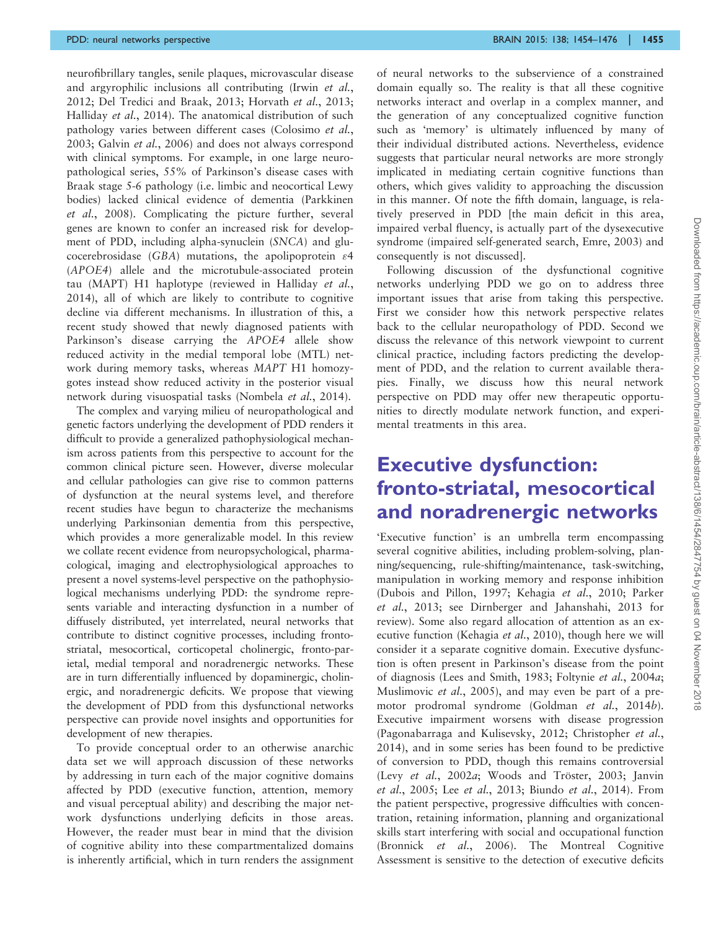neurofibrillary tangles, senile plaques, microvascular disease and argyrophilic inclusions all contributing (Irwin [et al.](#page-18-0), [2012;](#page-18-0) [Del Tredici and Braak, 2013;](#page-16-0) [Horvath](#page-18-0) et al., 2013; [Halliday](#page-17-0) et al., 2014). The anatomical distribution of such pathology varies between different cases [\(Colosimo](#page-16-0) et al., [2003;](#page-16-0) [Galvin](#page-17-0) et al., 2006) and does not always correspond with clinical symptoms. For example, in one large neuropathological series, 55% of Parkinson's disease cases with Braak stage 5-6 pathology (i.e. limbic and neocortical Lewy bodies) lacked clinical evidence of dementia [\(Parkkinen](#page-20-0) et al.[, 2008\)](#page-20-0). Complicating the picture further, several genes are known to confer an increased risk for development of PDD, including alpha-synuclein (SNCA) and glucocerebrosidase (GBA) mutations, the apolipoprotein  $\varepsilon$ 4 (APOE4) allele and the microtubule-associated protein tau (MAPT) H1 haplotype (reviewed in [Halliday](#page-17-0) et al., [2014\)](#page-17-0), all of which are likely to contribute to cognitive decline via different mechanisms. In illustration of this, a recent study showed that newly diagnosed patients with Parkinson's disease carrying the APOE4 allele show reduced activity in the medial temporal lobe (MTL) network during memory tasks, whereas MAPT H1 homozygotes instead show reduced activity in the posterior visual network during visuospatial tasks ([Nombela](#page-19-0) et al., 2014).

The complex and varying milieu of neuropathological and genetic factors underlying the development of PDD renders it difficult to provide a generalized pathophysiological mechanism across patients from this perspective to account for the common clinical picture seen. However, diverse molecular and cellular pathologies can give rise to common patterns of dysfunction at the neural systems level, and therefore recent studies have begun to characterize the mechanisms underlying Parkinsonian dementia from this perspective, which provides a more generalizable model. In this review we collate recent evidence from neuropsychological, pharmacological, imaging and electrophysiological approaches to present a novel systems-level perspective on the pathophysiological mechanisms underlying PDD: the syndrome represents variable and interacting dysfunction in a number of diffusely distributed, yet interrelated, neural networks that contribute to distinct cognitive processes, including frontostriatal, mesocortical, corticopetal cholinergic, fronto-parietal, medial temporal and noradrenergic networks. These are in turn differentially influenced by dopaminergic, cholinergic, and noradrenergic deficits. We propose that viewing the development of PDD from this dysfunctional networks perspective can provide novel insights and opportunities for development of new therapies.

To provide conceptual order to an otherwise anarchic data set we will approach discussion of these networks by addressing in turn each of the major cognitive domains affected by PDD (executive function, attention, memory and visual perceptual ability) and describing the major network dysfunctions underlying deficits in those areas. However, the reader must bear in mind that the division of cognitive ability into these compartmentalized domains is inherently artificial, which in turn renders the assignment of neural networks to the subservience of a constrained domain equally so. The reality is that all these cognitive networks interact and overlap in a complex manner, and the generation of any conceptualized cognitive function such as 'memory' is ultimately influenced by many of their individual distributed actions. Nevertheless, evidence suggests that particular neural networks are more strongly implicated in mediating certain cognitive functions than others, which gives validity to approaching the discussion in this manner. Of note the fifth domain, language, is relatively preserved in PDD [the main deficit in this area, impaired verbal fluency, is actually part of the dysexecutive syndrome (impaired self-generated search, [Emre, 2003](#page-16-0)) and consequently is not discussed].

Following discussion of the dysfunctional cognitive networks underlying PDD we go on to address three important issues that arise from taking this perspective. First we consider how this network perspective relates back to the cellular neuropathology of PDD. Second we discuss the relevance of this network viewpoint to current clinical practice, including factors predicting the development of PDD, and the relation to current available therapies. Finally, we discuss how this neural network perspective on PDD may offer new therapeutic opportunities to directly modulate network function, and experimental treatments in this area.

# Executive dysfunction: fronto-striatal, mesocortical and noradrenergic networks

'Executive function' is an umbrella term encompassing several cognitive abilities, including problem-solving, planning/sequencing, rule-shifting/maintenance, task-switching, manipulation in working memory and response inhibition ([Dubois and Pillon, 1997](#page-16-0); [Kehagia](#page-18-0) et al., 2010; [Parker](#page-20-0) et al.[, 2013](#page-20-0); see [Dirnberger and Jahanshahi, 2013](#page-16-0) for review). Some also regard allocation of attention as an executive function ([Kehagia](#page-18-0) et al., 2010), though here we will consider it a separate cognitive domain. Executive dysfunction is often present in Parkinson's disease from the point of diagnosis ([Lees and Smith, 1983](#page-18-0); [Foltynie](#page-17-0) et al., 2004a; [Muslimovic](#page-19-0) et al., 2005), and may even be part of a premotor prodromal syndrome [\(Goldman](#page-17-0) et al., 2014b). Executive impairment worsens with disease progression ([Pagonabarraga and Kulisevsky, 2012](#page-20-0); [Christopher](#page-16-0) et al., [2014](#page-16-0)), and in some series has been found to be predictive of conversion to PDD, though this remains controversial (Levy et al.[, 2002](#page-19-0)a; Woods and Tröster, 2003; [Janvin](#page-18-0) et al.[, 2005;](#page-18-0) Lee et al.[, 2013;](#page-18-0) [Biundo](#page-15-0) et al., 2014). From the patient perspective, progressive difficulties with concentration, retaining information, planning and organizational skills start interfering with social and occupational function ([Bronnick](#page-16-0) et al., 2006). The Montreal Cognitive Assessment is sensitive to the detection of executive deficits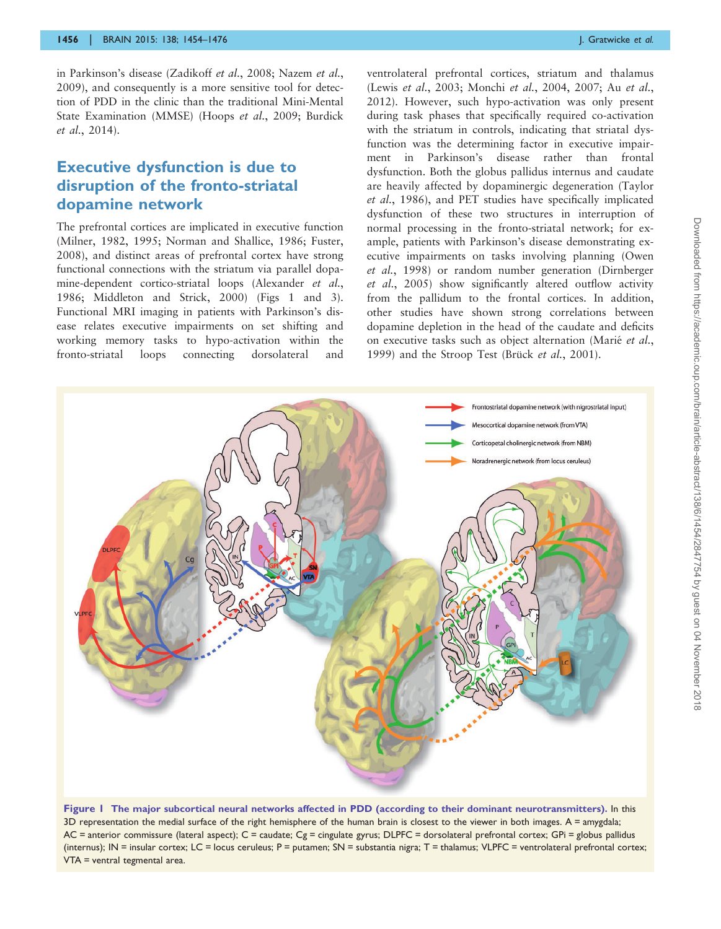<span id="page-2-0"></span>in Parkinson's disease [\(Zadikoff](#page-22-0) et al., 2008; [Nazem](#page-19-0) et al., [2009](#page-19-0)), and consequently is a more sensitive tool for detection of PDD in the clinic than the traditional Mini-Mental State Examination (MMSE) (Hoops et al.[, 2009](#page-18-0); [Burdick](#page-16-0) et al.[, 2014](#page-16-0)).

### Executive dysfunction is due to disruption of the fronto-striatal dopamine network

The prefrontal cortices are implicated in executive function [\(Milner, 1982, 1995](#page-19-0); [Norman and Shallice, 1986;](#page-19-0) [Fuster,](#page-17-0) [2008](#page-17-0)), and distinct areas of prefrontal cortex have strong functional connections with the striatum via parallel dopamine-dependent cortico-striatal loops [\(Alexander](#page-15-0) et al., [1986](#page-15-0); [Middleton and Strick, 2000](#page-19-0)) (Figs 1 and [3\)](#page-6-0). Functional MRI imaging in patients with Parkinson's disease relates executive impairments on set shifting and working memory tasks to hypo-activation within the fronto-striatal loops connecting dorsolateral and ventrolateral prefrontal cortices, striatum and thalamus (Lewis et al.[, 2003](#page-19-0); [Monchi](#page-19-0) et al., 2004, [2007;](#page-19-0) Au [et al.](#page-15-0), [2012\)](#page-15-0). However, such hypo-activation was only present during task phases that specifically required co-activation with the striatum in controls, indicating that striatal dysfunction was the determining factor in executive impairment in Parkinson's disease rather than frontal dysfunction. Both the globus pallidus internus and caudate are heavily affected by dopaminergic degeneration ([Taylor](#page-21-0) et al.[, 1986\)](#page-21-0), and PET studies have specifically implicated dysfunction of these two structures in interruption of normal processing in the fronto-striatal network; for example, patients with Parkinson's disease demonstrating executive impairments on tasks involving planning ([Owen](#page-20-0) et al.[, 1998\)](#page-20-0) or random number generation ([Dirnberger](#page-16-0) et al.[, 2005\)](#page-16-0) show significantly altered outflow activity from the pallidum to the frontal cortices. In addition, other studies have shown strong correlations between dopamine depletion in the head of the caudate and deficits on executive tasks such as object alternation (Marié et al., [1999\)](#page-19-0) and the Stroop Test (Brück et al.[, 2001\)](#page-16-0).



Figure 1 The major subcortical neural networks affected in PDD (according to their dominant neurotransmitters). In this 3D representation the medial surface of the right hemisphere of the human brain is closest to the viewer in both images. A = amygdala; AC = anterior commissure (lateral aspect); C = caudate; Cg = cingulate gyrus; DLPFC = dorsolateral prefrontal cortex; GPi = globus pallidus (internus); IN = insular cortex; LC = locus ceruleus; P = putamen; SN = substantia nigra; T = thalamus; VLPFC = ventrolateral prefrontal cortex; VTA = ventral tegmental area.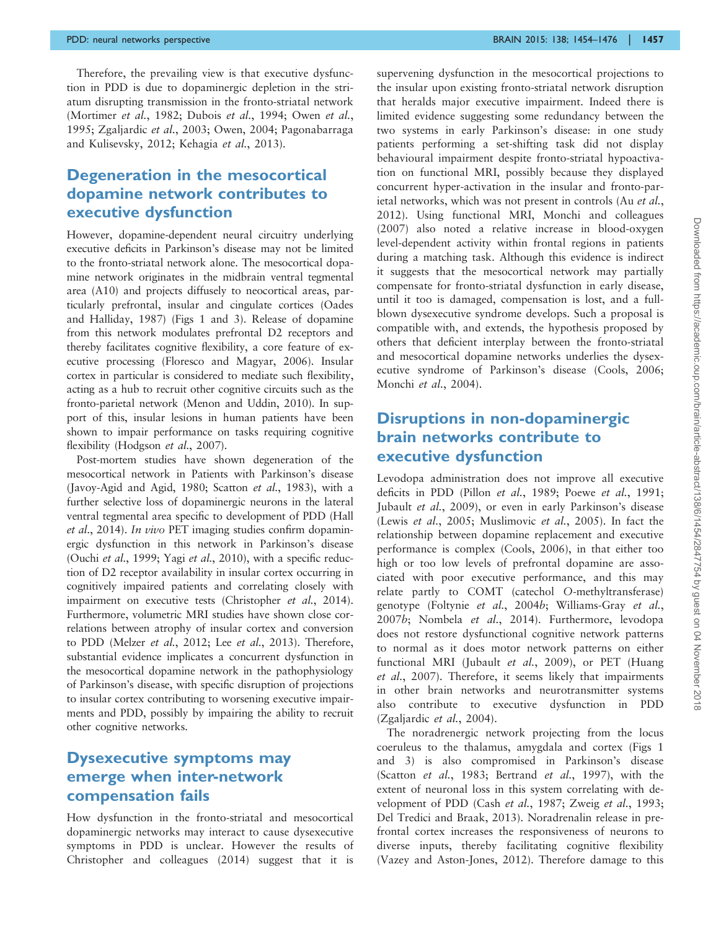Therefore, the prevailing view is that executive dysfunction in PDD is due to dopaminergic depletion in the striatum disrupting transmission in the fronto-striatal network ([Mortimer](#page-19-0) et al., 1982; [Dubois](#page-16-0) et al., 1994; [Owen](#page-20-0) et al., [1995;](#page-20-0) [Zgaljardic](#page-22-0) et al., 2003; [Owen, 2004](#page-20-0); [Pagonabarraga](#page-20-0) [and Kulisevsky, 2012](#page-20-0); [Kehagia](#page-18-0) et al., 2013).

#### Degeneration in the mesocortical dopamine network contributes to executive dysfunction

However, dopamine-dependent neural circuitry underlying executive deficits in Parkinson's disease may not be limited to the fronto-striatal network alone. The mesocortical dopamine network originates in the midbrain ventral tegmental area (A10) and projects diffusely to neocortical areas, particularly prefrontal, insular and cingulate cortices [\(Oades](#page-19-0) [and Halliday, 1987](#page-19-0)) ([Figs 1](#page-2-0) and [3\)](#page-6-0). Release of dopamine from this network modulates prefrontal D2 receptors and thereby facilitates cognitive flexibility, a core feature of executive processing ([Floresco and Magyar, 2006\)](#page-17-0). Insular cortex in particular is considered to mediate such flexibility, acting as a hub to recruit other cognitive circuits such as the fronto-parietal network ([Menon and Uddin, 2010](#page-19-0)). In support of this, insular lesions in human patients have been shown to impair performance on tasks requiring cognitive flexibility [\(Hodgson](#page-18-0) et al., 2007).

Post-mortem studies have shown degeneration of the mesocortical network in Patients with Parkinson's disease ([Javoy-Agid and Agid, 1980](#page-18-0); [Scatton](#page-21-0) et al., 1983), with a further selective loss of dopaminergic neurons in the lateral ventral tegmental area specific to development of PDD [\(Hall](#page-17-0) et al.[, 2014\)](#page-17-0). In vivo PET imaging studies confirm dopaminergic dysfunction in this network in Parkinson's disease (Ouchi et al.[, 1999](#page-20-0); Yagi et al.[, 2010\)](#page-22-0), with a specific reduction of D2 receptor availability in insular cortex occurring in cognitively impaired patients and correlating closely with impairment on executive tests ([Christopher](#page-16-0) et al., 2014). Furthermore, volumetric MRI studies have shown close correlations between atrophy of insular cortex and conversion to PDD [\(Melzer](#page-19-0) et al., 2012; Lee et al.[, 2013\)](#page-18-0). Therefore, substantial evidence implicates a concurrent dysfunction in the mesocortical dopamine network in the pathophysiology of Parkinson's disease, with specific disruption of projections to insular cortex contributing to worsening executive impairments and PDD, possibly by impairing the ability to recruit other cognitive networks.

#### Dysexecutive symptoms may emerge when inter-network compensation fails

How dysfunction in the fronto-striatal and mesocortical dopaminergic networks may interact to cause dysexecutive symptoms in PDD is unclear. However the results of [Christopher and colleagues \(2014\)](#page-16-0) suggest that it is

supervening dysfunction in the mesocortical projections to the insular upon existing fronto-striatal network disruption that heralds major executive impairment. Indeed there is limited evidence suggesting some redundancy between the two systems in early Parkinson's disease: in one study patients performing a set-shifting task did not display behavioural impairment despite fronto-striatal hypoactivation on functional MRI, possibly because they displayed concurrent hyper-activation in the insular and fronto-parietal networks, which was not present in controls (Au [et al.](#page-15-0), [2012](#page-15-0)). Using functional MRI, [Monchi and colleagues](#page-19-0) [\(2007\)](#page-19-0) also noted a relative increase in blood-oxygen level-dependent activity within frontal regions in patients during a matching task. Although this evidence is indirect it suggests that the mesocortical network may partially compensate for fronto-striatal dysfunction in early disease, until it too is damaged, compensation is lost, and a fullblown dysexecutive syndrome develops. Such a proposal is compatible with, and extends, the hypothesis proposed by others that deficient interplay between the fronto-striatal and mesocortical dopamine networks underlies the dysexecutive syndrome of Parkinson's disease [\(Cools, 2006;](#page-16-0) [Monchi](#page-19-0) et al., 2004).

### Disruptions in non-dopaminergic brain networks contribute to executive dysfunction

Levodopa administration does not improve all executive deficits in PDD (Pillon et al.[, 1989;](#page-20-0) Poewe et al.[, 1991;](#page-20-0) [Jubault](#page-18-0) et al., 2009), or even in early Parkinson's disease (Lewis et al.[, 2005; Muslimovic](#page-19-0) et al., 2005). In fact the relationship between dopamine replacement and executive performance is complex ([Cools, 2006\),](#page-16-0) in that either too high or too low levels of prefrontal dopamine are associated with poor executive performance, and this may relate partly to COMT (catechol O-methyltransferase) genotype [\(Foltynie](#page-17-0) et al., 2004b; [Williams-Gray](#page-22-0) et al., [2007](#page-22-0)b; [Nombela](#page-19-0) et al., 2014). Furthermore, levodopa does not restore dysfunctional cognitive network patterns to normal as it does motor network patterns on either functional MRI ([Jubault](#page-18-0) et al., 2009), or PET ([Huang](#page-18-0) et al.[, 2007\)](#page-18-0). Therefore, it seems likely that impairments in other brain networks and neurotransmitter systems also contribute to executive dysfunction in PDD ([Zgaljardic](#page-22-0) et al., 2004).

The noradrenergic network projecting from the locus coeruleus to the thalamus, amygdala and cortex ([Figs 1](#page-2-0) and [3\)](#page-6-0) is also compromised in Parkinson's disease (Scatton et al.[, 1983;](#page-21-0) [Bertrand](#page-15-0) et al., 1997), with the extent of neuronal loss in this system correlating with de-velopment of PDD (Cash et al.[, 1987;](#page-16-0) Zweig et al.[, 1993;](#page-22-0) [Del Tredici and Braak, 2013\)](#page-16-0). Noradrenalin release in prefrontal cortex increases the responsiveness of neurons to diverse inputs, thereby facilitating cognitive flexibility ([Vazey and Aston-Jones, 2012](#page-21-0)). Therefore damage to this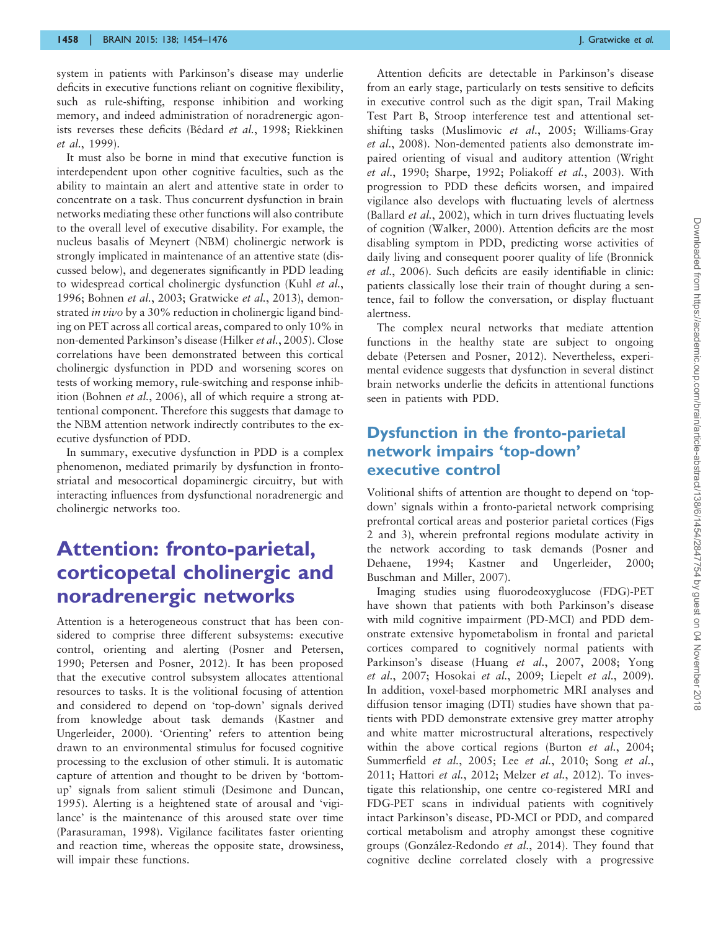system in patients with Parkinson's disease may underlie deficits in executive functions reliant on cognitive flexibility, such as rule-shifting, response inhibition and working memory, and indeed administration of noradrenergic agon-ists reverses these deficits (Bédard et al., 1998; [Riekkinen](#page-20-0) et al.[, 1999](#page-20-0)).

It must also be borne in mind that executive function is interdependent upon other cognitive faculties, such as the ability to maintain an alert and attentive state in order to concentrate on a task. Thus concurrent dysfunction in brain networks mediating these other functions will also contribute to the overall level of executive disability. For example, the nucleus basalis of Meynert (NBM) cholinergic network is strongly implicated in maintenance of an attentive state (discussed below), and degenerates significantly in PDD leading to widespread cortical cholinergic dysfunction (Kuhl [et al.](#page-18-0), [1996](#page-18-0); [Bohnen](#page-15-0) et al., 2003; [Gratwicke](#page-17-0) et al., 2013), demonstrated *in vivo* by a 30% reduction in cholinergic ligand binding on PET across all cortical areas, compared to only 10% in non-demented Parkinson's disease ([Hilker](#page-17-0) et al., 2005). Close correlations have been demonstrated between this cortical cholinergic dysfunction in PDD and worsening scores on tests of working memory, rule-switching and response inhibition ([Bohnen](#page-15-0) et al., 2006), all of which require a strong attentional component. Therefore this suggests that damage to the NBM attention network indirectly contributes to the executive dysfunction of PDD.

In summary, executive dysfunction in PDD is a complex phenomenon, mediated primarily by dysfunction in frontostriatal and mesocortical dopaminergic circuitry, but with interacting influences from dysfunctional noradrenergic and cholinergic networks too.

### Attention: fronto-parietal, corticopetal cholinergic and noradrenergic networks

Attention is a heterogeneous construct that has been considered to comprise three different subsystems: executive control, orienting and alerting ([Posner and Petersen,](#page-20-0) [1990](#page-20-0); [Petersen and Posner, 2012\)](#page-20-0). It has been proposed that the executive control subsystem allocates attentional resources to tasks. It is the volitional focusing of attention and considered to depend on 'top-down' signals derived from knowledge about task demands ([Kastner and](#page-18-0) [Ungerleider, 2000](#page-18-0)). 'Orienting' refers to attention being drawn to an environmental stimulus for focused cognitive processing to the exclusion of other stimuli. It is automatic capture of attention and thought to be driven by 'bottomup' signals from salient stimuli ([Desimone and Duncan,](#page-16-0) [1995](#page-16-0)). Alerting is a heightened state of arousal and 'vigilance' is the maintenance of this aroused state over time [\(Parasuraman, 1998\)](#page-20-0). Vigilance facilitates faster orienting and reaction time, whereas the opposite state, drowsiness, will impair these functions.

Attention deficits are detectable in Parkinson's disease from an early stage, particularly on tests sensitive to deficits in executive control such as the digit span, Trail Making Test Part B, Stroop interference test and attentional setshifting tasks ([Muslimovic](#page-19-0) et al., 2005; [Williams-Gray](#page-22-0) et al.[, 2008](#page-22-0)). Non-demented patients also demonstrate impaired orienting of visual and auditory attention [\(Wright](#page-22-0) et al.[, 1990](#page-22-0); [Sharpe, 1992;](#page-21-0) [Poliakoff](#page-20-0) et al., 2003). With progression to PDD these deficits worsen, and impaired vigilance also develops with fluctuating levels of alertness [\(Ballard](#page-15-0) et al., 2002), which in turn drives fluctuating levels of cognition ([Walker, 2000\)](#page-21-0). Attention deficits are the most disabling symptom in PDD, predicting worse activities of daily living and consequent poorer quality of life [\(Bronnick](#page-16-0) et al.[, 2006](#page-16-0)). Such deficits are easily identifiable in clinic: patients classically lose their train of thought during a sentence, fail to follow the conversation, or display fluctuant alertness.

The complex neural networks that mediate attention functions in the healthy state are subject to ongoing debate [\(Petersen and Posner, 2012](#page-20-0)). Nevertheless, experimental evidence suggests that dysfunction in several distinct brain networks underlie the deficits in attentional functions seen in patients with PDD.

### Dysfunction in the fronto-parietal network impairs 'top-down' executive control

Volitional shifts of attention are thought to depend on 'topdown' signals within a fronto-parietal network comprising prefrontal cortical areas and posterior parietal cortices ([Figs](#page-5-0) [2](#page-5-0) and [3\)](#page-6-0), wherein prefrontal regions modulate activity in the network according to task demands [\(Posner and](#page-20-0) [Dehaene, 1994](#page-20-0); [Kastner and Ungerleider, 2000](#page-18-0); [Buschman and Miller, 2007\)](#page-16-0).

Imaging studies using fluorodeoxyglucose (FDG)-PET have shown that patients with both Parkinson's disease with mild cognitive impairment (PD-MCI) and PDD demonstrate extensive hypometabolism in frontal and parietal cortices compared to cognitively normal patients with Parkinson's disease (Huang et al.[, 2007, 2008](#page-18-0); [Yong](#page-22-0) et al.[, 2007](#page-22-0); [Hosokai](#page-18-0) et al., 2009; Liepelt et al.[, 2009](#page-19-0)). In addition, voxel-based morphometric MRI analyses and diffusion tensor imaging (DTI) studies have shown that patients with PDD demonstrate extensive grey matter atrophy and white matter microstructural alterations, respectively within the above cortical regions (Burton *et al.*[, 2004](#page-16-0); [Summerfield](#page-21-0) et al., 2005; Lee et al.[, 2010;](#page-18-0) Song [et al.](#page-21-0), [2011;](#page-21-0) [Hattori](#page-17-0) et al., 2012; [Melzer](#page-19-0) et al., 2012). To investigate this relationship, one centre co-registered MRI and FDG-PET scans in individual patients with cognitively intact Parkinson's disease, PD-MCI or PDD, and compared cortical metabolism and atrophy amongst these cognitive groups (González-Redondo et al., 2014). They found that cognitive decline correlated closely with a progressive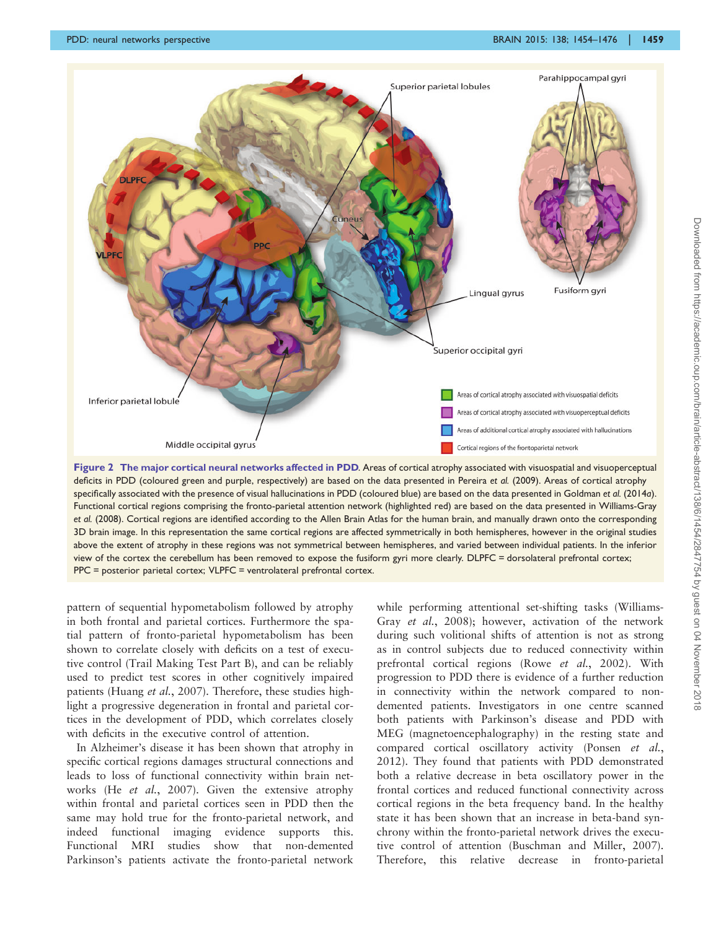<span id="page-5-0"></span>

Figure 2 The major cortical neural networks affected in PDD. Areas of cortical atrophy associated with visuospatial and visuoperceptual deficits in PDD (coloured green and purple, respectively) are based on the data presented in [Pereira](#page-20-0) et al. (2009). Areas of cortical atrophy specifically associated with the presence of visual hallucinations in PDD (coloured blue) are based on the data presented in [Goldman](#page-17-0) et al. (2014a). Functional cortical regions comprising the fronto-parietal attention network (highlighted red) are based on the data presented in [Williams-Gray](#page-22-0) et al. [\(2008\)](#page-22-0). Cortical regions are identified according to the Allen Brain Atlas for the human brain, and manually drawn onto the corresponding 3D brain image. In this representation the same cortical regions are affected symmetrically in both hemispheres, however in the original studies above the extent of atrophy in these regions was not symmetrical between hemispheres, and varied between individual patients. In the inferior view of the cortex the cerebellum has been removed to expose the fusiform gyri more clearly. DLPFC = dorsolateral prefrontal cortex; PPC = posterior parietal cortex; VLPFC = ventrolateral prefrontal cortex.

pattern of sequential hypometabolism followed by atrophy in both frontal and parietal cortices. Furthermore the spatial pattern of fronto-parietal hypometabolism has been shown to correlate closely with deficits on a test of executive control (Trail Making Test Part B), and can be reliably used to predict test scores in other cognitively impaired patients ([Huang](#page-18-0) et al., 2007). Therefore, these studies highlight a progressive degeneration in frontal and parietal cortices in the development of PDD, which correlates closely with deficits in the executive control of attention.

In Alzheimer's disease it has been shown that atrophy in specific cortical regions damages structural connections and leads to loss of functional connectivity within brain networks (He et al.[, 2007\)](#page-17-0). Given the extensive atrophy within frontal and parietal cortices seen in PDD then the same may hold true for the fronto-parietal network, and indeed functional imaging evidence supports this. Functional MRI studies show that non-demented Parkinson's patients activate the fronto-parietal network

while performing attentional set-shifting tasks ([Williams-](#page-22-0)Gray et al.[, 2008\)](#page-22-0); however, activation of the network during such volitional shifts of attention is not as strong as in control subjects due to reduced connectivity within prefrontal cortical regions (Rowe et al.[, 2002](#page-20-0)). With progression to PDD there is evidence of a further reduction in connectivity within the network compared to nondemented patients. Investigators in one centre scanned both patients with Parkinson's disease and PDD with MEG (magnetoencephalography) in the resting state and compared cortical oscillatory activity [\(Ponsen](#page-20-0) et al., [2012](#page-20-0)). They found that patients with PDD demonstrated both a relative decrease in beta oscillatory power in the frontal cortices and reduced functional connectivity across cortical regions in the beta frequency band. In the healthy state it has been shown that an increase in beta-band synchrony within the fronto-parietal network drives the executive control of attention ([Buschman and Miller, 2007\)](#page-16-0). Therefore, this relative decrease in fronto-parietal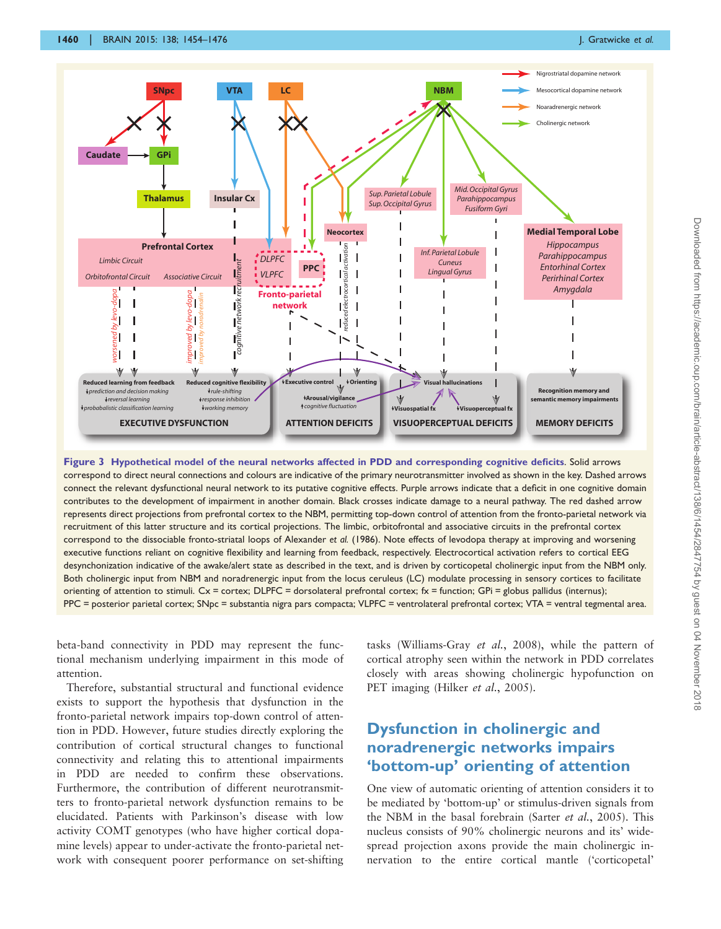<span id="page-6-0"></span>

Figure 3 Hypothetical model of the neural networks affected in PDD and corresponding cognitive deficits. Solid arrows correspond to direct neural connections and colours are indicative of the primary neurotransmitter involved as shown in the key. Dashed arrows connect the relevant dysfunctional neural network to its putative cognitive effects. Purple arrows indicate that a deficit in one cognitive domain contributes to the development of impairment in another domain. Black crosses indicate damage to a neural pathway. The red dashed arrow represents direct projections from prefrontal cortex to the NBM, permitting top-down control of attention from the fronto-parietal network via recruitment of this latter structure and its cortical projections. The limbic, orbitofrontal and associative circuits in the prefrontal cortex correspond to the dissociable fronto-striatal loops of [Alexander](#page-15-0) et al. (1986). Note effects of levodopa therapy at improving and worsening executive functions reliant on cognitive flexibility and learning from feedback, respectively. Electrocortical activation refers to cortical EEG desynchonization indicative of the awake/alert state as described in the text, and is driven by corticopetal cholinergic input from the NBM only. Both cholinergic input from NBM and noradrenergic input from the locus ceruleus (LC) modulate processing in sensory cortices to facilitate orienting of attention to stimuli. Cx = cortex; DLPFC = dorsolateral prefrontal cortex;  $fx = function$ ; GPi = globus pallidus (internus); PPC = posterior parietal cortex; SNpc = substantia nigra pars compacta; VLPFC = ventrolateral prefrontal cortex; VTA = ventral tegmental area.

beta-band connectivity in PDD may represent the functional mechanism underlying impairment in this mode of attention.

Therefore, substantial structural and functional evidence exists to support the hypothesis that dysfunction in the fronto-parietal network impairs top-down control of attention in PDD. However, future studies directly exploring the contribution of cortical structural changes to functional connectivity and relating this to attentional impairments in PDD are needed to confirm these observations. Furthermore, the contribution of different neurotransmitters to fronto-parietal network dysfunction remains to be elucidated. Patients with Parkinson's disease with low activity COMT genotypes (who have higher cortical dopamine levels) appear to under-activate the fronto-parietal network with consequent poorer performance on set-shifting

tasks ([Williams-Gray](#page-22-0) et al., 2008), while the pattern of cortical atrophy seen within the network in PDD correlates closely with areas showing cholinergic hypofunction on PET imaging (Hilker *et al.*[, 2005](#page-17-0)).

#### Dysfunction in cholinergic and noradrenergic networks impairs 'bottom-up' orienting of attention

One view of automatic orienting of attention considers it to be mediated by 'bottom-up' or stimulus-driven signals from the NBM in the basal forebrain (Sarter et al.[, 2005\)](#page-20-0). This nucleus consists of 90% cholinergic neurons and its' widespread projection axons provide the main cholinergic innervation to the entire cortical mantle ('corticopetal'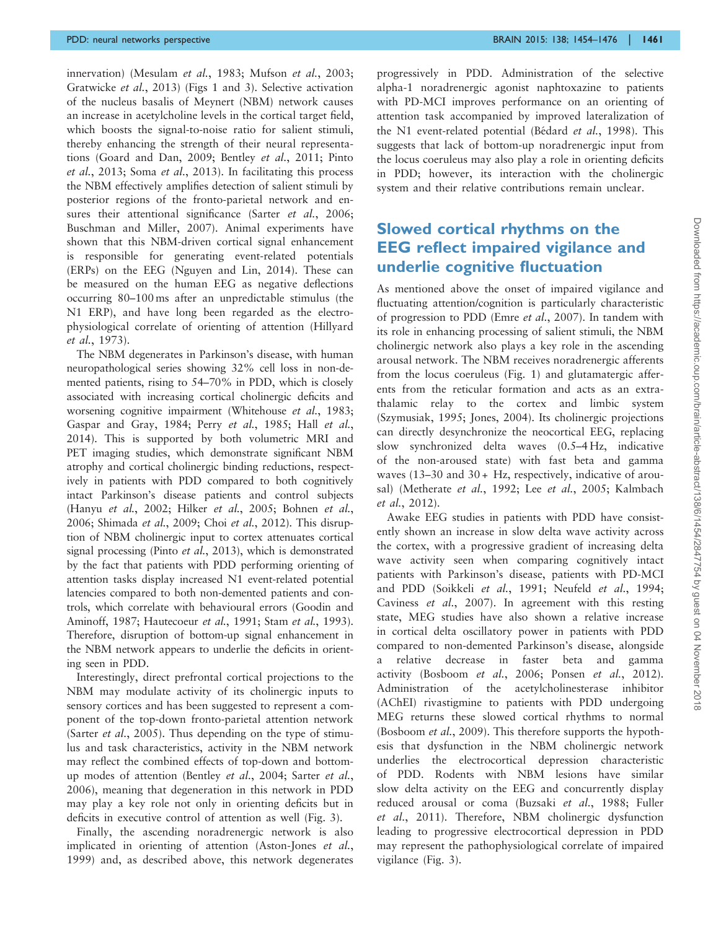innervation) ([Mesulam](#page-19-0) et al., 1983; [Mufson](#page-19-0) et al., 2003; [Gratwicke](#page-17-0) et al., 2013) [\(Figs 1](#page-2-0) and [3](#page-6-0)). Selective activation of the nucleus basalis of Meynert (NBM) network causes an increase in acetylcholine levels in the cortical target field, which boosts the signal-to-noise ratio for salient stimuli, thereby enhancing the strength of their neural representations [\(Goard and Dan, 2009](#page-17-0); [Bentley](#page-15-0) et al., 2011; [Pinto](#page-20-0) et al.[, 2013;](#page-20-0) Soma et al.[, 2013\)](#page-21-0). In facilitating this process the NBM effectively amplifies detection of salient stimuli by posterior regions of the fronto-parietal network and ensures their attentional significance (Sarter *et al.*[, 2006](#page-20-0); [Buschman and Miller, 2007\)](#page-16-0). Animal experiments have shown that this NBM-driven cortical signal enhancement is responsible for generating event-related potentials (ERPs) on the EEG ([Nguyen and Lin, 2014\)](#page-19-0). These can be measured on the human EEG as negative deflections occurring 80–100 ms after an unpredictable stimulus (the N1 ERP), and have long been regarded as the electrophysiological correlate of orienting of attention ([Hillyard](#page-17-0) et al.[, 1973\)](#page-17-0).

The NBM degenerates in Parkinson's disease, with human neuropathological series showing 32% cell loss in non-demented patients, rising to 54–70% in PDD, which is closely associated with increasing cortical cholinergic deficits and worsening cognitive impairment ([Whitehouse](#page-21-0) et al., 1983; [Gaspar and Gray, 1984;](#page-17-0) Perry et al.[, 1985](#page-20-0); Hall [et al.](#page-17-0), [2014](#page-17-0)). This is supported by both volumetric MRI and PET imaging studies, which demonstrate significant NBM atrophy and cortical cholinergic binding reductions, respectively in patients with PDD compared to both cognitively intact Parkinson's disease patients and control subjects (Hanyu et al.[, 2002](#page-17-0); Hilker et al.[, 2005](#page-17-0); [Bohnen](#page-15-0) et al., [2006](#page-15-0); [Shimada](#page-21-0) et al., 2009; Choi et al.[, 2012](#page-16-0)). This disruption of NBM cholinergic input to cortex attenuates cortical signal processing (Pinto et al.[, 2013](#page-20-0)), which is demonstrated by the fact that patients with PDD performing orienting of attention tasks display increased N1 event-related potential latencies compared to both non-demented patients and controls, which correlate with behavioural errors [\(Goodin and](#page-17-0) [Aminoff, 1987](#page-17-0); [Hautecoeur](#page-17-0) et al., 1991; Stam et al.[, 1993](#page-21-0)). Therefore, disruption of bottom-up signal enhancement in the NBM network appears to underlie the deficits in orienting seen in PDD.

Interestingly, direct prefrontal cortical projections to the NBM may modulate activity of its cholinergic inputs to sensory cortices and has been suggested to represent a component of the top-down fronto-parietal attention network (Sarter et al.[, 2005\)](#page-20-0). Thus depending on the type of stimulus and task characteristics, activity in the NBM network may reflect the combined effects of top-down and bottomup modes of attention [\(Bentley](#page-15-0) et al., 2004; [Sarter](#page-20-0) et al., [2006\)](#page-20-0), meaning that degeneration in this network in PDD may play a key role not only in orienting deficits but in deficits in executive control of attention as well ([Fig. 3\)](#page-6-0).

Finally, the ascending noradrenergic network is also implicated in orienting of attention [\(Aston-Jones](#page-15-0) et al., [1999\)](#page-15-0) and, as described above, this network degenerates

progressively in PDD. Administration of the selective alpha-1 noradrenergic agonist naphtoxazine to patients with PD-MCI improves performance on an orienting of attention task accompanied by improved lateralization of the N1 event-related potential (Bédard et al., 1998). This suggests that lack of bottom-up noradrenergic input from the locus coeruleus may also play a role in orienting deficits in PDD; however, its interaction with the cholinergic system and their relative contributions remain unclear.

### Slowed cortical rhythms on the EEG reflect impaired vigilance and underlie cognitive fluctuation

As mentioned above the onset of impaired vigilance and fluctuating attention/cognition is particularly characteristic of progression to PDD (Emre et al.[, 2007](#page-17-0)). In tandem with its role in enhancing processing of salient stimuli, the NBM cholinergic network also plays a key role in the ascending arousal network. The NBM receives noradrenergic afferents from the locus coeruleus ([Fig. 1](#page-2-0)) and glutamatergic afferents from the reticular formation and acts as an extrathalamic relay to the cortex and limbic system ([Szymusiak, 1995;](#page-21-0) [Jones, 2004](#page-18-0)). Its cholinergic projections can directly desynchronize the neocortical EEG, replacing slow synchronized delta waves (0.5–4 Hz, indicative of the non-aroused state) with fast beta and gamma waves  $(13-30$  and  $30+Hz$ , respectively, indicative of arou-sal) [\(Metherate](#page-19-0) et al., 1992; Lee et al.[, 2005; Kalmbach](#page-18-0) et al.[, 2012\)](#page-18-0).

Awake EEG studies in patients with PDD have consistently shown an increase in slow delta wave activity across the cortex, with a progressive gradient of increasing delta wave activity seen when comparing cognitively intact patients with Parkinson's disease, patients with PD-MCI and PDD ([Soikkeli](#page-21-0) et al., 1991; [Neufeld](#page-19-0) et al., 1994; [Caviness](#page-16-0) et al., 2007). In agreement with this resting state, MEG studies have also shown a relative increase in cortical delta oscillatory power in patients with PDD compared to non-demented Parkinson's disease, alongside a relative decrease in faster beta and gamma activity [\(Bosboom](#page-16-0) et al., 2006; Ponsen et al.[, 2012\)](#page-20-0). Administration of the acetylcholinesterase inhibitor (AChEI) rivastigmine to patients with PDD undergoing MEG returns these slowed cortical rhythms to normal ([Bosboom](#page-16-0) et al., 2009). This therefore supports the hypothesis that dysfunction in the NBM cholinergic network underlies the electrocortical depression characteristic of PDD. Rodents with NBM lesions have similar slow delta activity on the EEG and concurrently display reduced arousal or coma [\(Buzsaki](#page-16-0) et al., 1988; [Fuller](#page-17-0) et al.[, 2011\)](#page-17-0). Therefore, NBM cholinergic dysfunction leading to progressive electrocortical depression in PDD may represent the pathophysiological correlate of impaired vigilance ([Fig. 3\)](#page-6-0).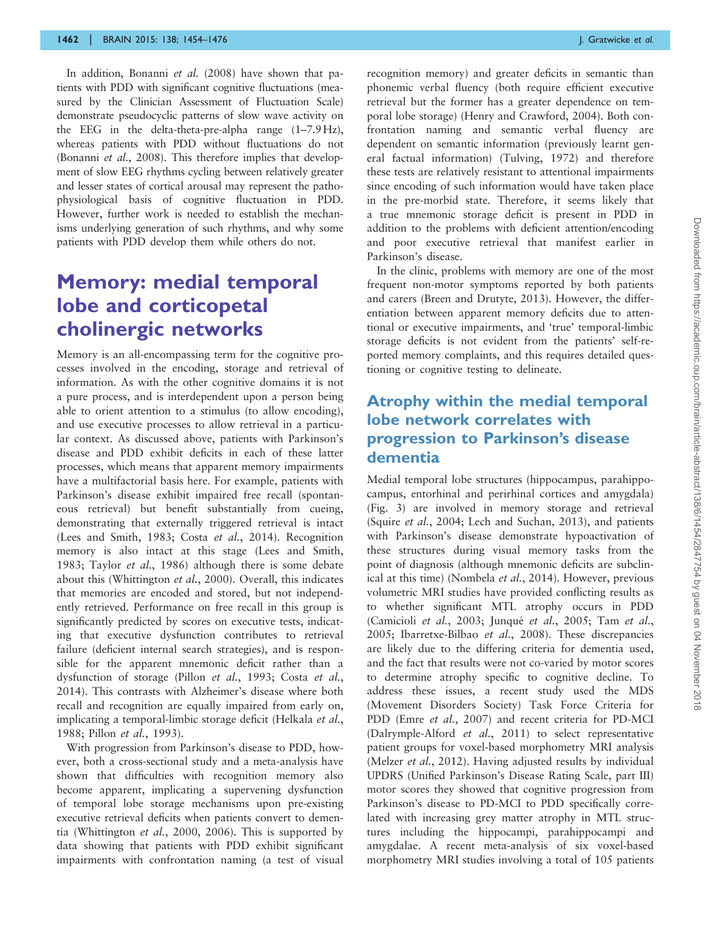In addition, [Bonanni](#page-16-0) et al. (2008) have shown that patients with PDD with significant cognitive fluctuations (measured by the Clinician Assessment of Fluctuation Scale) demonstrate pseudocyclic patterns of slow wave activity on the EEG in the delta-theta-pre-alpha range (1–7.9 Hz), whereas patients with PDD without fluctuations do not [\(Bonanni](#page-16-0) et al., 2008). This therefore implies that development of slow EEG rhythms cycling between relatively greater and lesser states of cortical arousal may represent the pathophysiological basis of cognitive fluctuation in PDD. However, further work is needed to establish the mechanisms underlying generation of such rhythms, and why some patients with PDD develop them while others do not.

### Memory: medial temporal lobe and corticopetal cholinergic networks

Memory is an all-encompassing term for the cognitive processes involved in the encoding, storage and retrieval of information. As with the other cognitive domains it is not a pure process, and is interdependent upon a person being able to orient attention to a stimulus (to allow encoding), and use executive processes to allow retrieval in a particular context. As discussed above, patients with Parkinson's disease and PDD exhibit deficits in each of these latter processes, which means that apparent memory impairments have a multifactorial basis here. For example, patients with Parkinson's disease exhibit impaired free recall (spontaneous retrieval) but benefit substantially from cueing, demonstrating that externally triggered retrieval is intact [\(Lees and Smith, 1983;](#page-18-0) Costa et al.[, 2014\)](#page-16-0). Recognition memory is also intact at this stage ([Lees and Smith,](#page-18-0) [1983](#page-18-0); Taylor et al.[, 1986](#page-21-0)) although there is some debate about this [\(Whittington](#page-21-0) et al., 2000). Overall, this indicates that memories are encoded and stored, but not independently retrieved. Performance on free recall in this group is significantly predicted by scores on executive tests, indicating that executive dysfunction contributes to retrieval failure (deficient internal search strategies), and is responsible for the apparent mnemonic deficit rather than a dysfunction of storage (Pillon et al.[, 1993;](#page-20-0) [Costa](#page-16-0) et al., [2014](#page-16-0)). This contrasts with Alzheimer's disease where both recall and recognition are equally impaired from early on, implicating a temporal-limbic storage deficit [\(Helkala](#page-17-0) et al., [1988](#page-17-0); Pillon et al.[, 1993\)](#page-20-0).

With progression from Parkinson's disease to PDD, however, both a cross-sectional study and a meta-analysis have shown that difficulties with recognition memory also become apparent, implicating a supervening dysfunction of temporal lobe storage mechanisms upon pre-existing executive retrieval deficits when patients convert to dementia ([Whittington](#page-21-0) et al., 2000, [2006\)](#page-21-0). This is supported by data showing that patients with PDD exhibit significant impairments with confrontation naming (a test of visual

recognition memory) and greater deficits in semantic than phonemic verbal fluency (both require efficient executive retrieval but the former has a greater dependence on temporal lobe storage) ([Henry and Crawford, 2004\)](#page-17-0). Both confrontation naming and semantic verbal fluency are dependent on semantic information (previously learnt general factual information) ([Tulving, 1972\)](#page-21-0) and therefore these tests are relatively resistant to attentional impairments since encoding of such information would have taken place in the pre-morbid state. Therefore, it seems likely that a true mnemonic storage deficit is present in PDD in addition to the problems with deficient attention/encoding and poor executive retrieval that manifest earlier in Parkinson's disease.

In the clinic, problems with memory are one of the most frequent non-motor symptoms reported by both patients and carers ([Breen and Drutyte, 2013\)](#page-16-0). However, the differentiation between apparent memory deficits due to attentional or executive impairments, and 'true' temporal-limbic storage deficits is not evident from the patients' self-reported memory complaints, and this requires detailed questioning or cognitive testing to delineate.

### Atrophy within the medial temporal lobe network correlates with progression to Parkinson's disease dementia

Medial temporal lobe structures (hippocampus, parahippocampus, entorhinal and perirhinal cortices and amygdala) [\(Fig. 3\)](#page-6-0) are involved in memory storage and retrieval (Squire et al.[, 2004](#page-21-0); [Lech and Suchan, 2013](#page-18-0)), and patients with Parkinson's disease demonstrate hypoactivation of these structures during visual memory tasks from the point of diagnosis (although mnemonic deficits are subclinical at this time) ([Nombela](#page-19-0) et al., 2014). However, previous volumetric MRI studies have provided conflicting results as to whether significant MTL atrophy occurs in PDD [\(Camicioli](#page-16-0) [et al.](#page-21-0), 2003; Junqué et al., 2005; Tam et al., [2005;](#page-21-0) [Ibarretxe-Bilbao](#page-18-0) et al., 2008). These discrepancies are likely due to the differing criteria for dementia used, and the fact that results were not co-varied by motor scores to determine atrophy specific to cognitive decline. To address these issues, a recent study used the MDS (Movement Disorders Society) Task Force Criteria for PDD (Emre et al.[, 2007](#page-17-0)) and recent criteria for PD-MCI [\(Dalrymple-Alford](#page-16-0) et al., 2011) to select representative patient groups for voxel-based morphometry MRI analysis [\(Melzer](#page-19-0) *et al.*, 2012). Having adjusted results by individual UPDRS (Unified Parkinson's Disease Rating Scale, part III) motor scores they showed that cognitive progression from Parkinson's disease to PD-MCI to PDD specifically correlated with increasing grey matter atrophy in MTL structures including the hippocampi, parahippocampi and amygdalae. A recent meta-analysis of six voxel-based morphometry MRI studies involving a total of 105 patients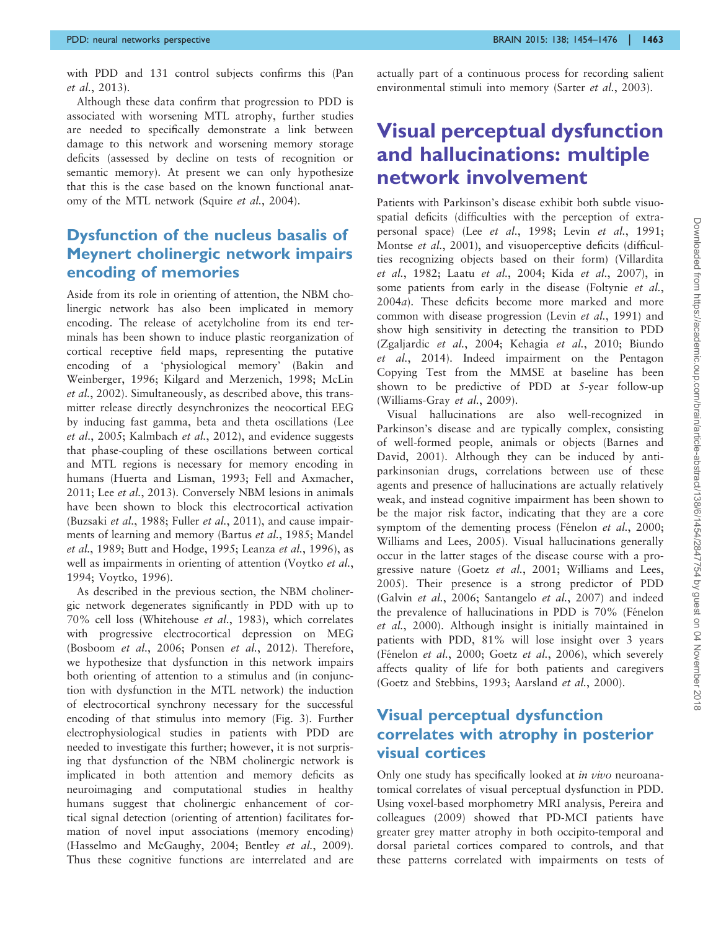with PDD and 131 control subjects confirms this [\(Pan](#page-20-0) et al.[, 2013\)](#page-20-0).

Although these data confirm that progression to PDD is associated with worsening MTL atrophy, further studies are needed to specifically demonstrate a link between damage to this network and worsening memory storage deficits (assessed by decline on tests of recognition or semantic memory). At present we can only hypothesize that this is the case based on the known functional anatomy of the MTL network (Squire et al.[, 2004\)](#page-21-0).

### Dysfunction of the nucleus basalis of Meynert cholinergic network impairs encoding of memories

Aside from its role in orienting of attention, the NBM cholinergic network has also been implicated in memory encoding. The release of acetylcholine from its end terminals has been shown to induce plastic reorganization of cortical receptive field maps, representing the putative encoding of a 'physiological memory' ([Bakin and](#page-15-0) [Weinberger, 1996](#page-15-0); [Kilgard and Merzenich, 1998;](#page-18-0) [McLin](#page-19-0) et al.[, 2002\)](#page-19-0). Simultaneously, as described above, this transmitter release directly desynchronizes the neocortical EEG by inducing fast gamma, beta and theta oscillations ([Lee](#page-18-0) et al.[, 2005](#page-18-0); [Kalmbach](#page-18-0) et al., 2012), and evidence suggests that phase-coupling of these oscillations between cortical and MTL regions is necessary for memory encoding in humans ([Huerta and Lisman, 1993;](#page-18-0) [Fell and Axmacher,](#page-17-0) [2011;](#page-17-0) Lee et al.[, 2013](#page-18-0)). Conversely NBM lesions in animals have been shown to block this electrocortical activation ([Buzsaki](#page-16-0) et al., 1988; Fuller et al.[, 2011](#page-17-0)), and cause impairments of learning and memory (Bartus *et al.*[, 1985;](#page-15-0) [Mandel](#page-19-0) et al.[, 1989](#page-19-0); [Butt and Hodge, 1995](#page-16-0); [Leanza](#page-18-0) et al., 1996), as well as impairments in orienting of attention ([Voytko](#page-21-0) et al., [1994; Voytko, 1996](#page-21-0)).

As described in the previous section, the NBM cholinergic network degenerates significantly in PDD with up to 70% cell loss [\(Whitehouse](#page-21-0) et al., 1983), which correlates with progressive electrocortical depression on MEG ([Bosboom](#page-16-0) et al., 2006; Ponsen et al.[, 2012\)](#page-20-0). Therefore, we hypothesize that dysfunction in this network impairs both orienting of attention to a stimulus and (in conjunction with dysfunction in the MTL network) the induction of electrocortical synchrony necessary for the successful encoding of that stimulus into memory [\(Fig. 3\)](#page-6-0). Further electrophysiological studies in patients with PDD are needed to investigate this further; however, it is not surprising that dysfunction of the NBM cholinergic network is implicated in both attention and memory deficits as neuroimaging and computational studies in healthy humans suggest that cholinergic enhancement of cortical signal detection (orienting of attention) facilitates formation of novel input associations (memory encoding) ([Hasselmo and McGaughy, 2004](#page-17-0); [Bentley](#page-15-0) et al., 2009). Thus these cognitive functions are interrelated and are actually part of a continuous process for recording salient environmental stimuli into memory (Sarter et al.[, 2003\)](#page-20-0).

### Visual perceptual dysfunction and hallucinations: multiple network involvement

Patients with Parkinson's disease exhibit both subtle visuospatial deficits (difficulties with the perception of extrapersonal space) (Lee et al.[, 1998](#page-18-0); Levin et al.[, 1991;](#page-18-0) [Montse](#page-19-0) *et al.*, 2001), and visuoperceptive deficits (difficulties recognizing objects based on their form) [\(Villardita](#page-21-0) et al.[, 1982](#page-21-0); Laatu et al.[, 2004;](#page-18-0) Kida et al.[, 2007\)](#page-18-0), in some patients from early in the disease [\(Foltynie](#page-17-0) et al., [2004](#page-17-0)a). These deficits become more marked and more common with disease progression (Levin et al.[, 1991](#page-18-0)) and show high sensitivity in detecting the transition to PDD ([Zgaljardic](#page-22-0) et al., 2004; [Kehagia](#page-18-0) et al., 2010; [Biundo](#page-15-0) et al.[, 2014](#page-15-0)). Indeed impairment on the Pentagon Copying Test from the MMSE at baseline has been shown to be predictive of PDD at 5-year follow-up ([Williams-Gray](#page-21-0) et al., 2009).

Visual hallucinations are also well-recognized in Parkinson's disease and are typically complex, consisting of well-formed people, animals or objects ([Barnes and](#page-15-0) [David, 2001](#page-15-0)). Although they can be induced by antiparkinsonian drugs, correlations between use of these agents and presence of hallucinations are actually relatively weak, and instead cognitive impairment has been shown to be the major risk factor, indicating that they are a core symptom of the dementing process (Fénelon et al., 2000; [Williams and Lees, 2005](#page-21-0)). Visual hallucinations generally occur in the latter stages of the disease course with a pro-gressive nature (Goetz et al.[, 2001;](#page-17-0) [Williams and Lees,](#page-21-0) [2005](#page-21-0)). Their presence is a strong predictor of PDD (Galvin et al.[, 2006;](#page-17-0) [Santangelo](#page-20-0) et al., 2007) and indeed the prevalence of hallucinations in PDD is 70% (Fénelon et al.[, 2000\)](#page-17-0). Although insight is initially maintained in patients with PDD, 81% will lose insight over 3 years (Fénelon et al., 2000; Goetz et al.[, 2006\)](#page-17-0), which severely affects quality of life for both patients and caregivers ([Goetz and Stebbins, 1993](#page-17-0); [Aarsland](#page-15-0) et al., 2000).

#### Visual perceptual dysfunction correlates with atrophy in posterior visual cortices

Only one study has specifically looked at in vivo neuroanatomical correlates of visual perceptual dysfunction in PDD. Using voxel-based morphometry MRI analysis, [Pereira and](#page-20-0) [colleagues \(2009\)](#page-20-0) showed that PD-MCI patients have greater grey matter atrophy in both occipito-temporal and dorsal parietal cortices compared to controls, and that these patterns correlated with impairments on tests of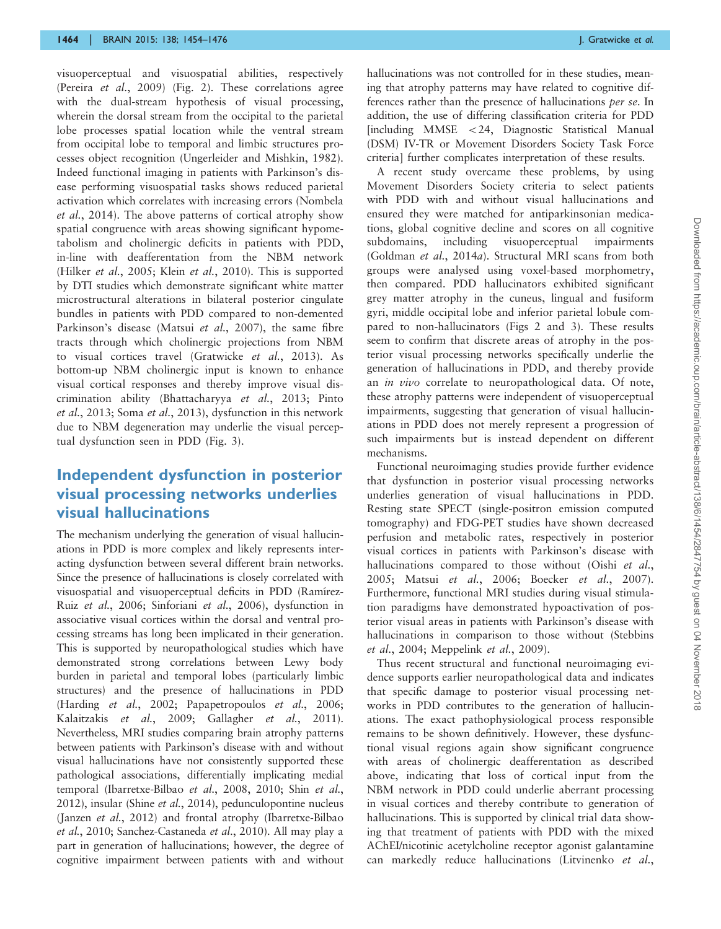visuoperceptual and visuospatial abilities, respectively (Pereira et al.[, 2009\)](#page-20-0) ([Fig. 2](#page-5-0)). These correlations agree with the dual-stream hypothesis of visual processing, wherein the dorsal stream from the occipital to the parietal lobe processes spatial location while the ventral stream from occipital lobe to temporal and limbic structures processes object recognition ([Ungerleider and Mishkin, 1982\)](#page-21-0). Indeed functional imaging in patients with Parkinson's disease performing visuospatial tasks shows reduced parietal activation which correlates with increasing errors ([Nombela](#page-19-0) et al.[, 2014](#page-19-0)). The above patterns of cortical atrophy show spatial congruence with areas showing significant hypometabolism and cholinergic deficits in patients with PDD, in-line with deafferentation from the NBM network (Hilker et al.[, 2005;](#page-17-0) Klein et al.[, 2010](#page-18-0)). This is supported by DTI studies which demonstrate significant white matter microstructural alterations in bilateral posterior cingulate bundles in patients with PDD compared to non-demented Parkinson's disease (Matsui et al.[, 2007\)](#page-19-0), the same fibre tracts through which cholinergic projections from NBM to visual cortices travel ([Gratwicke](#page-17-0) et al., 2013). As bottom-up NBM cholinergic input is known to enhance visual cortical responses and thereby improve visual discrimination ability ([Bhattacharyya](#page-15-0) et al., 2013; [Pinto](#page-20-0) et al.[, 2013](#page-20-0); Soma et al.[, 2013\)](#page-21-0), dysfunction in this network due to NBM degeneration may underlie the visual perceptual dysfunction seen in PDD ([Fig. 3\)](#page-6-0).

### Independent dysfunction in posterior visual processing networks underlies visual hallucinations

The mechanism underlying the generation of visual hallucinations in PDD is more complex and likely represents interacting dysfunction between several different brain networks. Since the presence of hallucinations is closely correlated with visuospatial and visuoperceptual deficits in PDD (Ramírez-Ruiz et al.[, 2006](#page-20-0); [Sinforiani](#page-21-0) et al., 2006), dysfunction in associative visual cortices within the dorsal and ventral processing streams has long been implicated in their generation. This is supported by neuropathological studies which have demonstrated strong correlations between Lewy body burden in parietal and temporal lobes (particularly limbic structures) and the presence of hallucinations in PDD [\(Harding](#page-17-0) et al., 2002; [Papapetropoulos](#page-20-0) et al., 2006; [Kalaitzakis](#page-18-0) et al., 2009; [Gallagher](#page-17-0) et al., 2011). Nevertheless, MRI studies comparing brain atrophy patterns between patients with Parkinson's disease with and without visual hallucinations have not consistently supported these pathological associations, differentially implicating medial temporal ([Ibarretxe-Bilbao](#page-18-0) et al., 2008, [2010](#page-18-0); Shin [et al.](#page-21-0), [2012\)](#page-21-0), insular (Shine et al.[, 2014\)](#page-21-0), pedunculopontine nucleus (Janzen et al.[, 2012\)](#page-18-0) and frontal atrophy ([Ibarretxe-Bilbao](#page-18-0) et al.[, 2010;](#page-18-0) [Sanchez-Castaneda](#page-20-0) et al., 2010). All may play a part in generation of hallucinations; however, the degree of cognitive impairment between patients with and without

hallucinations was not controlled for in these studies, meaning that atrophy patterns may have related to cognitive differences rather than the presence of hallucinations per se. In addition, the use of differing classification criteria for PDD  $[including MMSE < 24, Diagnostic Statistical Manual$ (DSM) IV-TR or Movement Disorders Society Task Force criteria] further complicates interpretation of these results.

A recent study overcame these problems, by using Movement Disorders Society criteria to select patients with PDD with and without visual hallucinations and ensured they were matched for antiparkinsonian medications, global cognitive decline and scores on all cognitive subdomains, including visuoperceptual impairments [\(Goldman](#page-17-0) et al., 2014a). Structural MRI scans from both groups were analysed using voxel-based morphometry, then compared. PDD hallucinators exhibited significant grey matter atrophy in the cuneus, lingual and fusiform gyri, middle occipital lobe and inferior parietal lobule compared to non-hallucinators [\(Figs 2](#page-5-0) and [3\)](#page-6-0). These results seem to confirm that discrete areas of atrophy in the posterior visual processing networks specifically underlie the generation of hallucinations in PDD, and thereby provide an *in vivo* correlate to neuropathological data. Of note, these atrophy patterns were independent of visuoperceptual impairments, suggesting that generation of visual hallucinations in PDD does not merely represent a progression of such impairments but is instead dependent on different mechanisms.

Functional neuroimaging studies provide further evidence that dysfunction in posterior visual processing networks underlies generation of visual hallucinations in PDD. Resting state SPECT (single-positron emission computed tomography) and FDG-PET studies have shown decreased perfusion and metabolic rates, respectively in posterior visual cortices in patients with Parkinson's disease with hallucinations compared to those without (Oishi [et al.](#page-19-0), [2005;](#page-19-0) Matsui et al.[, 2006;](#page-19-0) [Boecker](#page-15-0) et al., 2007). Furthermore, functional MRI studies during visual stimulation paradigms have demonstrated hypoactivation of posterior visual areas in patients with Parkinson's disease with hallucinations in comparison to those without [\(Stebbins](#page-21-0) et al.[, 2004](#page-21-0); [Meppelink](#page-19-0) et al., 2009).

Thus recent structural and functional neuroimaging evidence supports earlier neuropathological data and indicates that specific damage to posterior visual processing networks in PDD contributes to the generation of hallucinations. The exact pathophysiological process responsible remains to be shown definitively. However, these dysfunctional visual regions again show significant congruence with areas of cholinergic deafferentation as described above, indicating that loss of cortical input from the NBM network in PDD could underlie aberrant processing in visual cortices and thereby contribute to generation of hallucinations. This is supported by clinical trial data showing that treatment of patients with PDD with the mixed AChEI/nicotinic acetylcholine receptor agonist galantamine can markedly reduce hallucinations ([Litvinenko](#page-19-0) et al.,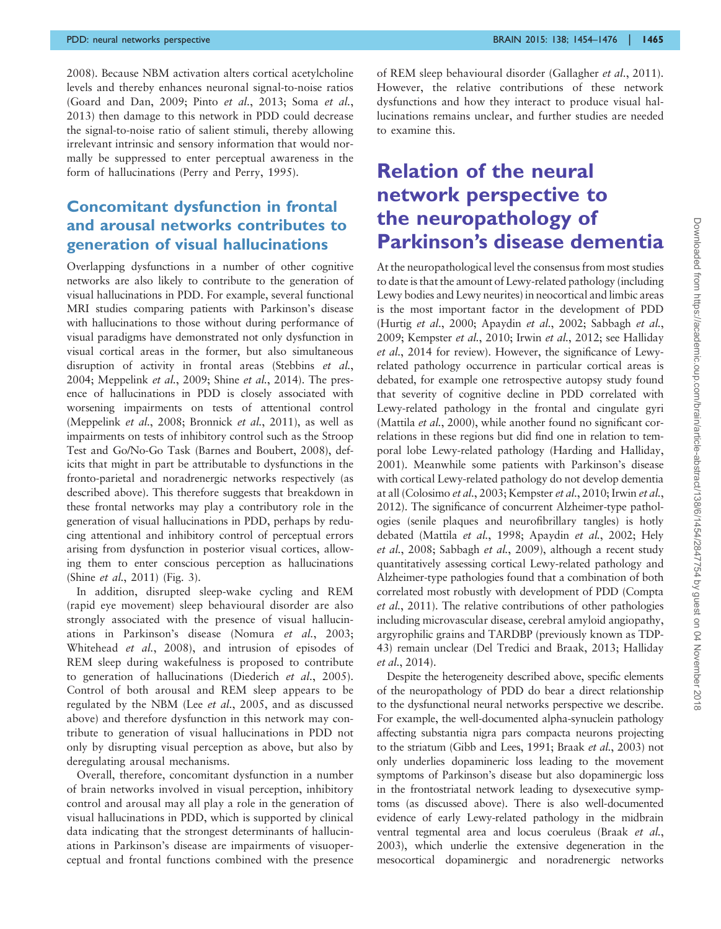[2008\)](#page-19-0). Because NBM activation alters cortical acetylcholine levels and thereby enhances neuronal signal-to-noise ratios ([Goard and Dan, 2009;](#page-17-0) Pinto et al.[, 2013](#page-20-0); Soma [et al.](#page-21-0), [2013\)](#page-21-0) then damage to this network in PDD could decrease the signal-to-noise ratio of salient stimuli, thereby allowing irrelevant intrinsic and sensory information that would normally be suppressed to enter perceptual awareness in the form of hallucinations ([Perry and Perry, 1995\)](#page-20-0).

### Concomitant dysfunction in frontal and arousal networks contributes to generation of visual hallucinations

Overlapping dysfunctions in a number of other cognitive networks are also likely to contribute to the generation of visual hallucinations in PDD. For example, several functional MRI studies comparing patients with Parkinson's disease with hallucinations to those without during performance of visual paradigms have demonstrated not only dysfunction in visual cortical areas in the former, but also simultaneous disruption of activity in frontal areas [\(Stebbins](#page-21-0) et al., [2004](#page-21-0); [Meppelink](#page-19-0) et al., 2009; Shine et al.[, 2014\)](#page-21-0). The presence of hallucinations in PDD is closely associated with worsening impairments on tests of attentional control ([Meppelink](#page-19-0) et al., 2008; [Bronnick](#page-16-0) et al., 2011), as well as impairments on tests of inhibitory control such as the Stroop Test and Go/No-Go Task ([Barnes and Boubert, 2008](#page-15-0)), deficits that might in part be attributable to dysfunctions in the fronto-parietal and noradrenergic networks respectively (as described above). This therefore suggests that breakdown in these frontal networks may play a contributory role in the generation of visual hallucinations in PDD, perhaps by reducing attentional and inhibitory control of perceptual errors arising from dysfunction in posterior visual cortices, allowing them to enter conscious perception as hallucinations (Shine et al.[, 2011\)](#page-21-0) ([Fig. 3](#page-6-0)).

In addition, disrupted sleep-wake cycling and REM (rapid eye movement) sleep behavioural disorder are also strongly associated with the presence of visual hallucinations in Parkinson's disease [\(Nomura](#page-19-0) et al., 2003; [Whitehead](#page-21-0) et al., 2008), and intrusion of episodes of REM sleep during wakefulness is proposed to contribute to generation of hallucinations [\(Diederich](#page-16-0) et al., 2005). Control of both arousal and REM sleep appears to be regulated by the NBM (Lee et al.[, 2005](#page-18-0), and as discussed above) and therefore dysfunction in this network may contribute to generation of visual hallucinations in PDD not only by disrupting visual perception as above, but also by deregulating arousal mechanisms.

Overall, therefore, concomitant dysfunction in a number of brain networks involved in visual perception, inhibitory control and arousal may all play a role in the generation of visual hallucinations in PDD, which is supported by clinical data indicating that the strongest determinants of hallucinations in Parkinson's disease are impairments of visuoperceptual and frontal functions combined with the presence of REM sleep behavioural disorder ([Gallagher](#page-17-0) et al., 2011). However, the relative contributions of these network dysfunctions and how they interact to produce visual hallucinations remains unclear, and further studies are needed to examine this.

# Relation of the neural network perspective to the neuropathology of Parkinson's disease dementia

At the neuropathological level the consensus from most studies to date is that the amount of Lewy-related pathology (including Lewy bodies and Lewy neurites) in neocortical and limbic areas is the most important factor in the development of PDD (Hurtig et al.[, 2000;](#page-18-0) [Apaydin](#page-15-0) et al., 2002; [Sabbagh](#page-20-0) et al., [2009](#page-20-0); [Kempster](#page-18-0) et al., 2010; Irwin et al.[, 2012;](#page-18-0) see [Halliday](#page-17-0) et al.[, 2014](#page-17-0) for review). However, the significance of Lewyrelated pathology occurrence in particular cortical areas is debated, for example one retrospective autopsy study found that severity of cognitive decline in PDD correlated with Lewy-related pathology in the frontal and cingulate gyri [\(Mattila](#page-19-0) et al., 2000), while another found no significant correlations in these regions but did find one in relation to temporal lobe Lewy-related pathology [\(Harding and Halliday,](#page-17-0) [2001](#page-17-0)). Meanwhile some patients with Parkinson's disease with cortical Lewy-related pathology do not develop dementia at all ([Colosimo](#page-16-0) et al., 2003; [Kempster](#page-18-0) et al., 2010; [Irwin](#page-18-0) et al., [2012](#page-18-0)). The significance of concurrent Alzheimer-type pathologies (senile plaques and neurofibrillary tangles) is hotly debated [\(Mattila](#page-19-0) et al., 1998; [Apaydin](#page-15-0) et al., 2002; [Hely](#page-17-0) et al.[, 2008;](#page-17-0) [Sabbagh](#page-20-0) et al., 2009), although a recent study quantitatively assessing cortical Lewy-related pathology and Alzheimer-type pathologies found that a combination of both correlated most robustly with development of PDD [\(Compta](#page-16-0) et al.[, 2011](#page-16-0)). The relative contributions of other pathologies including microvascular disease, cerebral amyloid angiopathy, argyrophilic grains and TARDBP (previously known as TDP-43) remain unclear [\(Del Tredici and Braak, 2013;](#page-16-0) [Halliday](#page-17-0) et al.[, 2014](#page-17-0)).

Despite the heterogeneity described above, specific elements of the neuropathology of PDD do bear a direct relationship to the dysfunctional neural networks perspective we describe. For example, the well-documented alpha-synuclein pathology affecting substantia nigra pars compacta neurons projecting to the striatum [\(Gibb and Lees, 1991](#page-17-0); Braak et al.[, 2003](#page-16-0)) not only underlies dopamineric loss leading to the movement symptoms of Parkinson's disease but also dopaminergic loss in the frontostriatal network leading to dysexecutive symptoms (as discussed above). There is also well-documented evidence of early Lewy-related pathology in the midbrain ventral tegmental area and locus coeruleus [\(Braak](#page-16-0) et al., [2003\)](#page-16-0), which underlie the extensive degeneration in the mesocortical dopaminergic and noradrenergic networks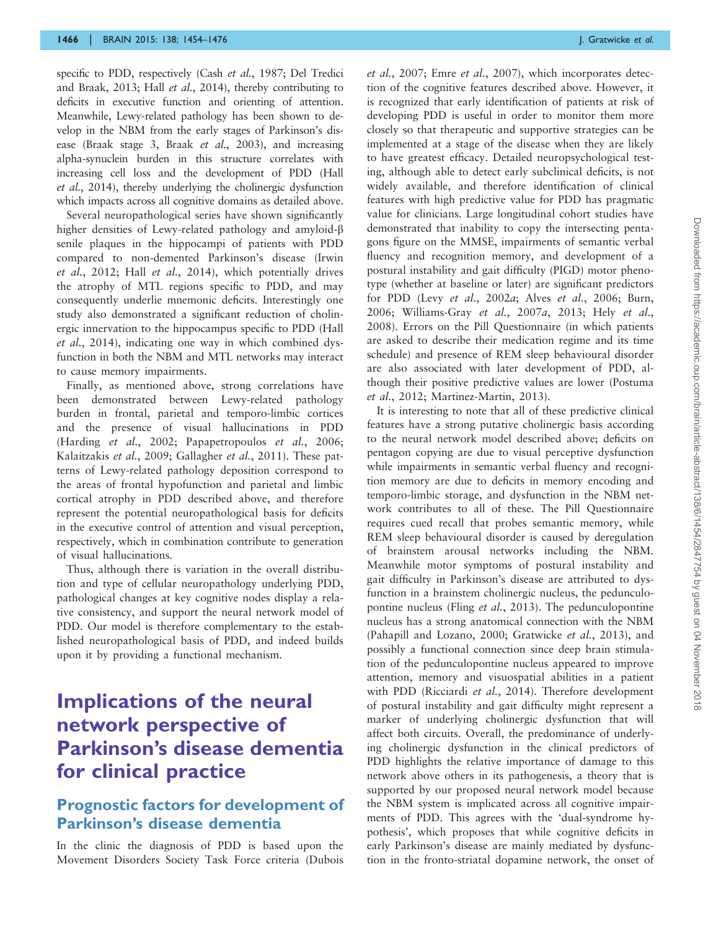specific to PDD, respectively (Cash et al.[, 1987; Del Tredici](#page-16-0) [and Braak, 2013;](#page-16-0) Hall et al.[, 2014](#page-17-0)), thereby contributing to deficits in executive function and orienting of attention. Meanwhile, Lewy-related pathology has been shown to develop in the NBM from the early stages of Parkinson's disease (Braak stage 3, Braak et al.[, 2003](#page-16-0)), and increasing alpha-synuclein burden in this structure correlates with increasing cell loss and the development of PDD ([Hall](#page-17-0) et al.[, 2014](#page-17-0)), thereby underlying the cholinergic dysfunction which impacts across all cognitive domains as detailed above.

Several neuropathological series have shown significantly higher densities of Lewy-related pathology and amyloid- $\beta$ senile plaques in the hippocampi of patients with PDD compared to non-demented Parkinson's disease [\(Irwin](#page-18-0) et al.[, 2012;](#page-18-0) Hall et al.[, 2014\)](#page-17-0), which potentially drives the atrophy of MTL regions specific to PDD, and may consequently underlie mnemonic deficits. Interestingly one study also demonstrated a significant reduction of cholinergic innervation to the hippocampus specific to PDD [\(Hall](#page-17-0) et al.[, 2014](#page-17-0)), indicating one way in which combined dysfunction in both the NBM and MTL networks may interact to cause memory impairments.

Finally, as mentioned above, strong correlations have been demonstrated between Lewy-related pathology burden in frontal, parietal and temporo-limbic cortices and the presence of visual hallucinations in PDD [\(Harding](#page-17-0) et al., 2002; [Papapetropoulos](#page-20-0) et al., 2006; [Kalaitzakis](#page-18-0) et al., 2009; [Gallagher](#page-17-0) et al., 2011). These patterns of Lewy-related pathology deposition correspond to the areas of frontal hypofunction and parietal and limbic cortical atrophy in PDD described above, and therefore represent the potential neuropathological basis for deficits in the executive control of attention and visual perception, respectively, which in combination contribute to generation of visual hallucinations.

Thus, although there is variation in the overall distribution and type of cellular neuropathology underlying PDD, pathological changes at key cognitive nodes display a relative consistency, and support the neural network model of PDD. Our model is therefore complementary to the established neuropathological basis of PDD, and indeed builds upon it by providing a functional mechanism.

### Implications of the neural network perspective of Parkinson's disease dementia for clinical practice

#### Prognostic factors for development of Parkinson's disease dementia

In the clinic the diagnosis of PDD is based upon the Movement Disorders Society Task Force criteria ([Dubois](#page-16-0)

et al.[, 2007](#page-16-0); Emre et al.[, 2007](#page-17-0)), which incorporates detection of the cognitive features described above. However, it is recognized that early identification of patients at risk of developing PDD is useful in order to monitor them more closely so that therapeutic and supportive strategies can be implemented at a stage of the disease when they are likely to have greatest efficacy. Detailed neuropsychological testing, although able to detect early subclinical deficits, is not widely available, and therefore identification of clinical features with high predictive value for PDD has pragmatic value for clinicians. Large longitudinal cohort studies have demonstrated that inability to copy the intersecting pentagons figure on the MMSE, impairments of semantic verbal fluency and recognition memory, and development of a postural instability and gait difficulty (PIGD) motor phenotype (whether at baseline or later) are significant predictors for PDD (Levy et al.[, 2002](#page-19-0)a; Alves et al.[, 2006;](#page-15-0) [Burn,](#page-16-0) [2006;](#page-16-0) [Williams-Gray](#page-21-0) et al., 2007a, [2013](#page-22-0); Hely [et al.](#page-17-0), [2008\)](#page-17-0). Errors on the Pill Questionnaire (in which patients are asked to describe their medication regime and its time schedule) and presence of REM sleep behavioural disorder are also associated with later development of PDD, although their positive predictive values are lower [\(Postuma](#page-20-0) et al.[, 2012](#page-20-0); [Martinez-Martin, 2013](#page-19-0)).

It is interesting to note that all of these predictive clinical features have a strong putative cholinergic basis according to the neural network model described above; deficits on pentagon copying are due to visual perceptive dysfunction while impairments in semantic verbal fluency and recognition memory are due to deficits in memory encoding and temporo-limbic storage, and dysfunction in the NBM network contributes to all of these. The Pill Questionnaire requires cued recall that probes semantic memory, while REM sleep behavioural disorder is caused by deregulation of brainstem arousal networks including the NBM. Meanwhile motor symptoms of postural instability and gait difficulty in Parkinson's disease are attributed to dysfunction in a brainstem cholinergic nucleus, the pedunculo-pontine nucleus (Fling et al.[, 2013\)](#page-17-0). The pedunculopontine nucleus has a strong anatomical connection with the NBM [\(Pahapill and Lozano, 2000](#page-20-0); [Gratwicke](#page-17-0) et al., 2013), and possibly a functional connection since deep brain stimulation of the pedunculopontine nucleus appeared to improve attention, memory and visuospatial abilities in a patient with PDD [\(Ricciardi](#page-20-0) et al., 2014). Therefore development of postural instability and gait difficulty might represent a marker of underlying cholinergic dysfunction that will affect both circuits. Overall, the predominance of underlying cholinergic dysfunction in the clinical predictors of PDD highlights the relative importance of damage to this network above others in its pathogenesis, a theory that is supported by our proposed neural network model because the NBM system is implicated across all cognitive impairments of PDD. This agrees with the 'dual-syndrome hypothesis', which proposes that while cognitive deficits in early Parkinson's disease are mainly mediated by dysfunction in the fronto-striatal dopamine network, the onset of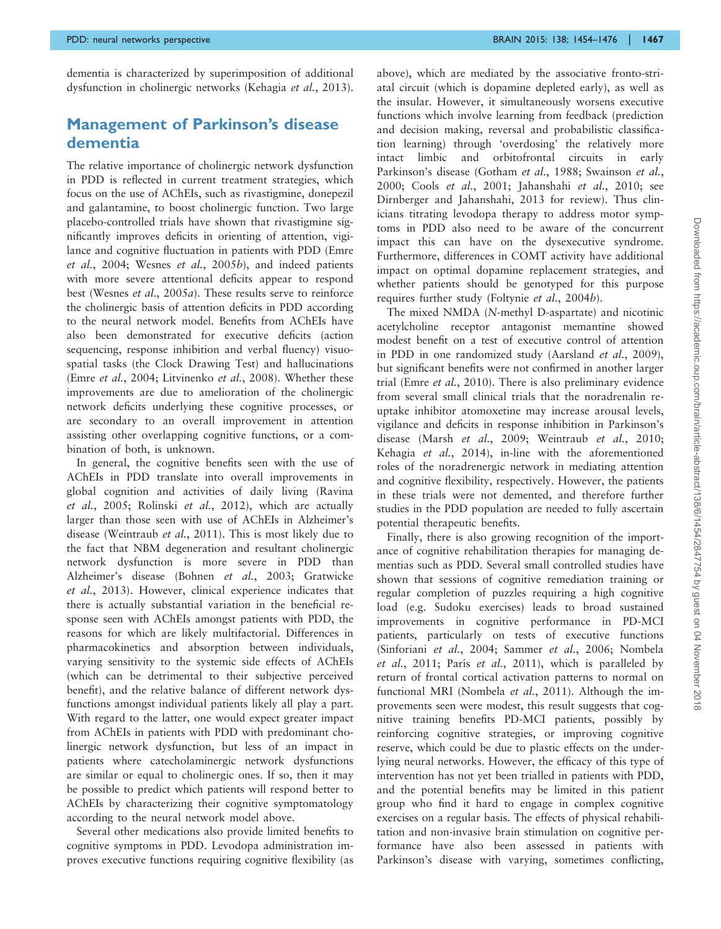dementia is characterized by superimposition of additional dysfunction in cholinergic networks ([Kehagia](#page-18-0) et al., 2013).

#### Management of Parkinson's disease dementia

The relative importance of cholinergic network dysfunction in PDD is reflected in current treatment strategies, which focus on the use of AChEIs, such as rivastigmine, donepezil and galantamine, to boost cholinergic function. Two large placebo-controlled trials have shown that rivastigmine significantly improves deficits in orienting of attention, vigilance and cognitive fluctuation in patients with PDD [\(Emre](#page-16-0) et al.[, 2004](#page-16-0); [Wesnes](#page-21-0) et al., 2005b), and indeed patients with more severe attentional deficits appear to respond best [\(Wesnes](#page-21-0) et al., 2005a). These results serve to reinforce the cholinergic basis of attention deficits in PDD according to the neural network model. Benefits from AChEIs have also been demonstrated for executive deficits (action sequencing, response inhibition and verbal fluency) visuospatial tasks (the Clock Drawing Test) and hallucinations (Emre et al.[, 2004](#page-16-0); [Litvinenko](#page-19-0) et al., 2008). Whether these improvements are due to amelioration of the cholinergic network deficits underlying these cognitive processes, or are secondary to an overall improvement in attention assisting other overlapping cognitive functions, or a combination of both, is unknown.

In general, the cognitive benefits seen with the use of AChEIs in PDD translate into overall improvements in global cognition and activities of daily living ([Ravina](#page-20-0) et al.[, 2005; Rolinski](#page-20-0) et al., 2012), which are actually larger than those seen with use of AChEIs in Alzheimer's disease [\(Weintraub](#page-21-0) et al., 2011). This is most likely due to the fact that NBM degeneration and resultant cholinergic network dysfunction is more severe in PDD than Alzheimer's disease (Bohnen et al.[, 2003;](#page-15-0) [Gratwicke](#page-17-0) et al.[, 2013](#page-17-0)). However, clinical experience indicates that there is actually substantial variation in the beneficial response seen with AChEIs amongst patients with PDD, the reasons for which are likely multifactorial. Differences in pharmacokinetics and absorption between individuals, varying sensitivity to the systemic side effects of AChEIs (which can be detrimental to their subjective perceived benefit), and the relative balance of different network dysfunctions amongst individual patients likely all play a part. With regard to the latter, one would expect greater impact from AChEIs in patients with PDD with predominant cholinergic network dysfunction, but less of an impact in patients where catecholaminergic network dysfunctions are similar or equal to cholinergic ones. If so, then it may be possible to predict which patients will respond better to AChEIs by characterizing their cognitive symptomatology according to the neural network model above.

Several other medications also provide limited benefits to cognitive symptoms in PDD. Levodopa administration improves executive functions requiring cognitive flexibility (as above), which are mediated by the associative fronto-striatal circuit (which is dopamine depleted early), as well as the insular. However, it simultaneously worsens executive functions which involve learning from feedback (prediction and decision making, reversal and probabilistic classification learning) through 'overdosing' the relatively more intact limbic and orbitofrontal circuits in early Parkinson's disease [\(Gotham](#page-17-0) et al., 1988; [Swainson](#page-21-0) et al., [2000](#page-21-0); Cools et al.[, 2001;](#page-16-0) [Jahanshahi](#page-18-0) et al., 2010; see [Dirnberger and Jahanshahi, 2013](#page-16-0) for review). Thus clinicians titrating levodopa therapy to address motor symptoms in PDD also need to be aware of the concurrent impact this can have on the dysexecutive syndrome. Furthermore, differences in COMT activity have additional impact on optimal dopamine replacement strategies, and whether patients should be genotyped for this purpose requires further study [\(Foltynie](#page-17-0) et al., 2004b).

The mixed NMDA (N-methyl D-aspartate) and nicotinic acetylcholine receptor antagonist memantine showed modest benefit on a test of executive control of attention in PDD in one randomized study ([Aarsland](#page-15-0) et al., 2009), but significant benefits were not confirmed in another larger trial (Emre et al.[, 2010](#page-17-0)). There is also preliminary evidence from several small clinical trials that the noradrenalin reuptake inhibitor atomoxetine may increase arousal levels, vigilance and deficits in response inhibition in Parkinson's disease (Marsh et al.[, 2009](#page-19-0); [Weintraub](#page-21-0) et al., 2010; [Kehagia](#page-18-0) et al., 2014), in-line with the aforementioned roles of the noradrenergic network in mediating attention and cognitive flexibility, respectively. However, the patients in these trials were not demented, and therefore further studies in the PDD population are needed to fully ascertain potential therapeutic benefits.

Finally, there is also growing recognition of the importance of cognitive rehabilitation therapies for managing dementias such as PDD. Several small controlled studies have shown that sessions of cognitive remediation training or regular completion of puzzles requiring a high cognitive load (e.g. Sudoku exercises) leads to broad sustained improvements in cognitive performance in PD-MCI patients, particularly on tests of executive functions ([Sinforiani](#page-21-0) et al., 2004; [Sammer](#page-20-0) et al., 2006; [Nombela](#page-19-0) et al.[, 2011;](#page-19-0) París et al.[, 2011\)](#page-20-0), which is paralleled by return of frontal cortical activation patterns to normal on functional MRI [\(Nombela](#page-19-0) et al., 2011). Although the improvements seen were modest, this result suggests that cognitive training benefits PD-MCI patients, possibly by reinforcing cognitive strategies, or improving cognitive reserve, which could be due to plastic effects on the underlying neural networks. However, the efficacy of this type of intervention has not yet been trialled in patients with PDD, and the potential benefits may be limited in this patient group who find it hard to engage in complex cognitive exercises on a regular basis. The effects of physical rehabilitation and non-invasive brain stimulation on cognitive performance have also been assessed in patients with Parkinson's disease with varying, sometimes conflicting,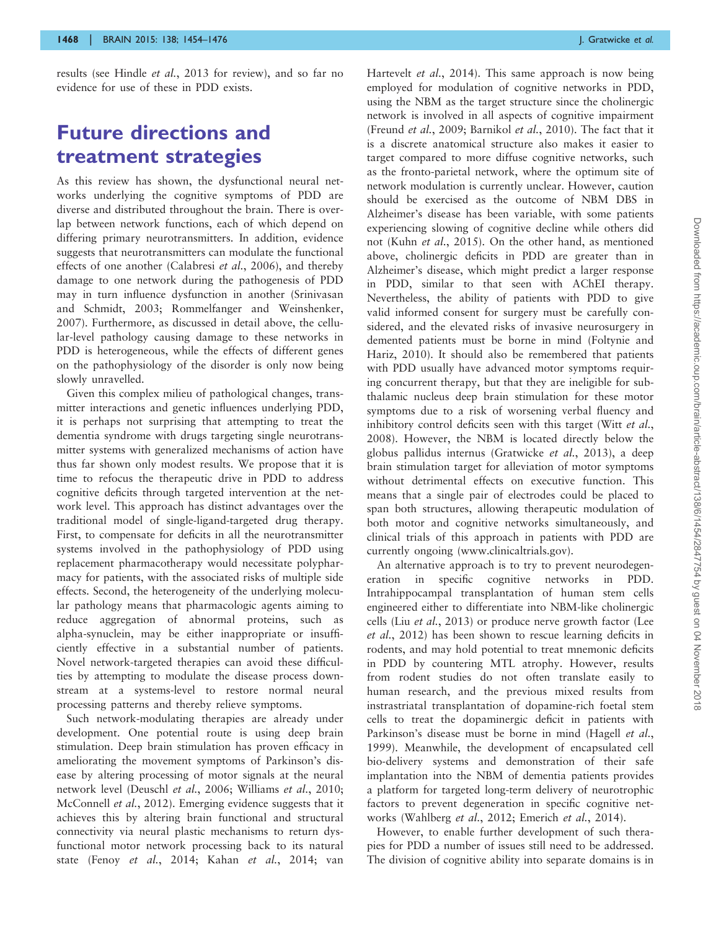results (see Hindle et al.[, 2013](#page-17-0) for review), and so far no evidence for use of these in PDD exists.

# Future directions and treatment strategies

As this review has shown, the dysfunctional neural networks underlying the cognitive symptoms of PDD are diverse and distributed throughout the brain. There is overlap between network functions, each of which depend on differing primary neurotransmitters. In addition, evidence suggests that neurotransmitters can modulate the functional effects of one another ([Calabresi](#page-16-0) et al., 2006), and thereby damage to one network during the pathogenesis of PDD may in turn influence dysfunction in another [\(Srinivasan](#page-21-0) [and Schmidt, 2003](#page-21-0); [Rommelfanger and Weinshenker,](#page-20-0) [2007](#page-20-0)). Furthermore, as discussed in detail above, the cellular-level pathology causing damage to these networks in PDD is heterogeneous, while the effects of different genes on the pathophysiology of the disorder is only now being slowly unravelled.

Given this complex milieu of pathological changes, transmitter interactions and genetic influences underlying PDD, it is perhaps not surprising that attempting to treat the dementia syndrome with drugs targeting single neurotransmitter systems with generalized mechanisms of action have thus far shown only modest results. We propose that it is time to refocus the therapeutic drive in PDD to address cognitive deficits through targeted intervention at the network level. This approach has distinct advantages over the traditional model of single-ligand-targeted drug therapy. First, to compensate for deficits in all the neurotransmitter systems involved in the pathophysiology of PDD using replacement pharmacotherapy would necessitate polypharmacy for patients, with the associated risks of multiple side effects. Second, the heterogeneity of the underlying molecular pathology means that pharmacologic agents aiming to reduce aggregation of abnormal proteins, such as alpha-synuclein, may be either inappropriate or insufficiently effective in a substantial number of patients. Novel network-targeted therapies can avoid these difficulties by attempting to modulate the disease process downstream at a systems-level to restore normal neural processing patterns and thereby relieve symptoms.

Such network-modulating therapies are already under development. One potential route is using deep brain stimulation. Deep brain stimulation has proven efficacy in ameliorating the movement symptoms of Parkinson's disease by altering processing of motor signals at the neural network level ([Deuschl](#page-16-0) et al., 2006; [Williams](#page-21-0) et al., 2010; [McConnell](#page-19-0) et al., 2012). Emerging evidence suggests that it achieves this by altering brain functional and structural connectivity via neural plastic mechanisms to return dysfunctional motor network processing back to its natural state (Fenoy et al.[, 2014](#page-17-0); Kahan et al.[, 2014](#page-18-0); [van](#page-21-0)

[Hartevelt](#page-21-0) *et al.*, 2014). This same approach is now being employed for modulation of cognitive networks in PDD, using the NBM as the target structure since the cholinergic network is involved in all aspects of cognitive impairment [\(Freund](#page-17-0) et al., 2009; [Barnikol](#page-15-0) et al., 2010). The fact that it is a discrete anatomical structure also makes it easier to target compared to more diffuse cognitive networks, such as the fronto-parietal network, where the optimum site of network modulation is currently unclear. However, caution should be exercised as the outcome of NBM DBS in Alzheimer's disease has been variable, with some patients experiencing slowing of cognitive decline while others did not (Kuhn et al.[, 2015\)](#page-18-0). On the other hand, as mentioned above, cholinergic deficits in PDD are greater than in Alzheimer's disease, which might predict a larger response in PDD, similar to that seen with AChEI therapy. Nevertheless, the ability of patients with PDD to give valid informed consent for surgery must be carefully considered, and the elevated risks of invasive neurosurgery in demented patients must be borne in mind ([Foltynie and](#page-17-0) [Hariz, 2010\)](#page-17-0). It should also be remembered that patients with PDD usually have advanced motor symptoms requiring concurrent therapy, but that they are ineligible for subthalamic nucleus deep brain stimulation for these motor symptoms due to a risk of worsening verbal fluency and inhibitory control deficits seen with this target (Witt [et al.](#page-22-0), [2008\)](#page-22-0). However, the NBM is located directly below the globus pallidus internus [\(Gratwicke](#page-17-0) et al., 2013), a deep brain stimulation target for alleviation of motor symptoms without detrimental effects on executive function. This means that a single pair of electrodes could be placed to span both structures, allowing therapeutic modulation of both motor and cognitive networks simultaneously, and clinical trials of this approach in patients with PDD are currently ongoing (<www.clinicaltrials.gov>).

An alternative approach is to try to prevent neurodegeneration in specific cognitive networks in PDD. Intrahippocampal transplantation of human stem cells engineered either to differentiate into NBM-like cholinergic cells (Liu et al.[, 2013](#page-19-0)) or produce nerve growth factor ([Lee](#page-18-0) et al.[, 2012\)](#page-18-0) has been shown to rescue learning deficits in rodents, and may hold potential to treat mnemonic deficits in PDD by countering MTL atrophy. However, results from rodent studies do not often translate easily to human research, and the previous mixed results from instrastriatal transplantation of dopamine-rich foetal stem cells to treat the dopaminergic deficit in patients with Parkinson's disease must be borne in mind [\(Hagell](#page-17-0) *et al.*, [1999\)](#page-17-0). Meanwhile, the development of encapsulated cell bio-delivery systems and demonstration of their safe implantation into the NBM of dementia patients provides a platform for targeted long-term delivery of neurotrophic factors to prevent degeneration in specific cognitive networks ([Wahlberg](#page-21-0) et al., 2012; [Emerich](#page-16-0) et al., 2014).

However, to enable further development of such therapies for PDD a number of issues still need to be addressed. The division of cognitive ability into separate domains is in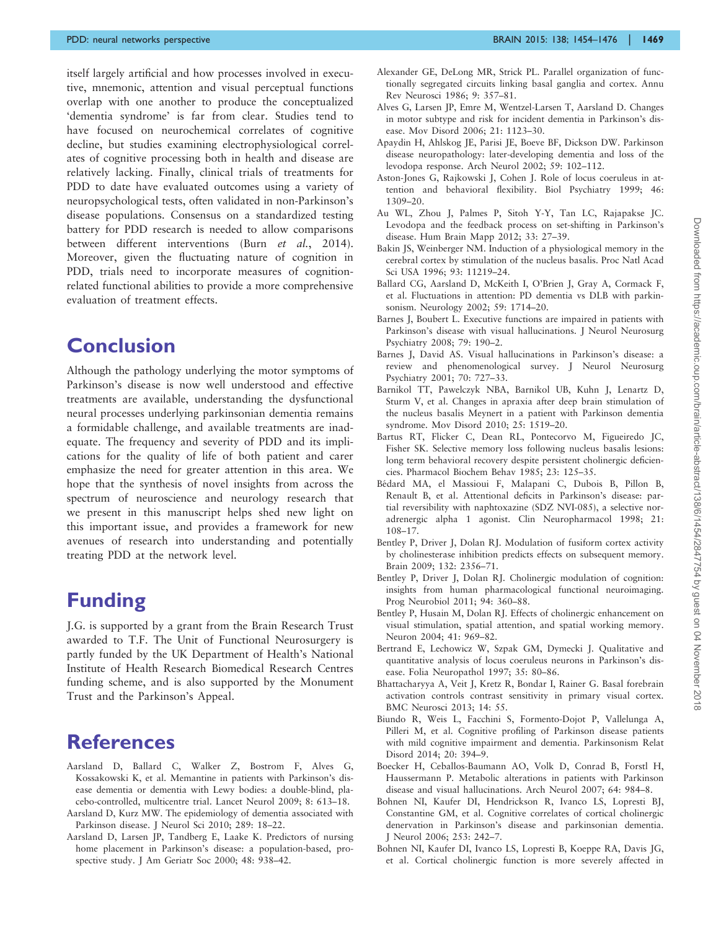<span id="page-15-0"></span>itself largely artificial and how processes involved in executive, mnemonic, attention and visual perceptual functions overlap with one another to produce the conceptualized 'dementia syndrome' is far from clear. Studies tend to have focused on neurochemical correlates of cognitive decline, but studies examining electrophysiological correlates of cognitive processing both in health and disease are relatively lacking. Finally, clinical trials of treatments for PDD to date have evaluated outcomes using a variety of neuropsychological tests, often validated in non-Parkinson's disease populations. Consensus on a standardized testing battery for PDD research is needed to allow comparisons between different interventions (Burn et al.[, 2014](#page-16-0)). Moreover, given the fluctuating nature of cognition in PDD, trials need to incorporate measures of cognitionrelated functional abilities to provide a more comprehensive evaluation of treatment effects.

### **Conclusion**

Although the pathology underlying the motor symptoms of Parkinson's disease is now well understood and effective treatments are available, understanding the dysfunctional neural processes underlying parkinsonian dementia remains a formidable challenge, and available treatments are inadequate. The frequency and severity of PDD and its implications for the quality of life of both patient and carer emphasize the need for greater attention in this area. We hope that the synthesis of novel insights from across the spectrum of neuroscience and neurology research that we present in this manuscript helps shed new light on this important issue, and provides a framework for new avenues of research into understanding and potentially treating PDD at the network level.

### Funding

J.G. is supported by a grant from the Brain Research Trust awarded to T.F. The Unit of Functional Neurosurgery is partly funded by the UK Department of Health's National Institute of Health Research Biomedical Research Centres funding scheme, and is also supported by the Monument Trust and the Parkinson's Appeal.

### References

- Aarsland D, Ballard C, Walker Z, Bostrom F, Alves G, Kossakowski K, et al. Memantine in patients with Parkinson's disease dementia or dementia with Lewy bodies: a double-blind, placebo-controlled, multicentre trial. Lancet Neurol 2009; 8: 613–18. Aarsland D, Kurz MW. The epidemiology of dementia associated with
- Parkinson disease. J Neurol Sci 2010; 289: 18–22.
- Aarsland D, Larsen JP, Tandberg E, Laake K. Predictors of nursing home placement in Parkinson's disease: a population-based, prospective study. J Am Geriatr Soc 2000; 48: 938-42.
- Alexander GE, DeLong MR, Strick PL. Parallel organization of functionally segregated circuits linking basal ganglia and cortex. Annu Rev Neurosci 1986; 9: 357–81.
- Alves G, Larsen JP, Emre M, Wentzel-Larsen T, Aarsland D. Changes in motor subtype and risk for incident dementia in Parkinson's disease. Mov Disord 2006; 21: 1123–30.
- Apaydin H, Ahlskog JE, Parisi JE, Boeve BF, Dickson DW. Parkinson disease neuropathology: later-developing dementia and loss of the levodopa response. Arch Neurol 2002; 59: 102–112.
- Aston-Jones G, Rajkowski J, Cohen J. Role of locus coeruleus in attention and behavioral flexibility. Biol Psychiatry 1999; 46: 1309–20.
- Au WL, Zhou J, Palmes P, Sitoh Y-Y, Tan LC, Rajapakse JC. Levodopa and the feedback process on set-shifting in Parkinson's disease. Hum Brain Mapp 2012; 33: 27–39.
- Bakin JS, Weinberger NM. Induction of a physiological memory in the cerebral cortex by stimulation of the nucleus basalis. Proc Natl Acad Sci USA 1996; 93: 11219–24.
- Ballard CG, Aarsland D, McKeith I, O'Brien J, Gray A, Cormack F, et al. Fluctuations in attention: PD dementia vs DLB with parkinsonism. Neurology 2002; 59: 1714–20.
- Barnes J, Boubert L. Executive functions are impaired in patients with Parkinson's disease with visual hallucinations. J Neurol Neurosurg Psychiatry 2008; 79: 190–2.
- Barnes J, David AS. Visual hallucinations in Parkinson's disease: a review and phenomenological survey. J Neurol Neurosurg Psychiatry 2001; 70: 727–33.
- Barnikol TT, Pawelczyk NBA, Barnikol UB, Kuhn J, Lenartz D, Sturm V, et al. Changes in apraxia after deep brain stimulation of the nucleus basalis Meynert in a patient with Parkinson dementia syndrome. Mov Disord 2010; 25: 1519–20.
- Bartus RT, Flicker C, Dean RL, Pontecorvo M, Figueiredo JC, Fisher SK. Selective memory loss following nucleus basalis lesions: long term behavioral recovery despite persistent cholinergic deficiencies. Pharmacol Biochem Behav 1985; 23: 125–35.
- Bédard MA, el Massioui F, Malapani C, Dubois B, Pillon B, Renault B, et al. Attentional deficits in Parkinson's disease: partial reversibility with naphtoxazine (SDZ NVI-085), a selective noradrenergic alpha 1 agonist. Clin Neuropharmacol 1998; 21: 108–17.
- Bentley P, Driver J, Dolan RJ. Modulation of fusiform cortex activity by cholinesterase inhibition predicts effects on subsequent memory. Brain 2009; 132: 2356–71.
- Bentley P, Driver J, Dolan RJ. Cholinergic modulation of cognition: insights from human pharmacological functional neuroimaging. Prog Neurobiol 2011; 94: 360–88.
- Bentley P, Husain M, Dolan RJ. Effects of cholinergic enhancement on visual stimulation, spatial attention, and spatial working memory. Neuron 2004; 41: 969–82.
- Bertrand E, Lechowicz W, Szpak GM, Dymecki J. Qualitative and quantitative analysis of locus coeruleus neurons in Parkinson's disease. Folia Neuropathol 1997; 35: 80–86.
- Bhattacharyya A, Veit J, Kretz R, Bondar I, Rainer G. Basal forebrain activation controls contrast sensitivity in primary visual cortex. BMC Neurosci 2013; 14: 55.
- Biundo R, Weis L, Facchini S, Formento-Dojot P, Vallelunga A, Pilleri M, et al. Cognitive profiling of Parkinson disease patients with mild cognitive impairment and dementia. Parkinsonism Relat Disord 2014; 20: 394–9.
- Boecker H, Ceballos-Baumann AO, Volk D, Conrad B, Forstl H, Haussermann P. Metabolic alterations in patients with Parkinson disease and visual hallucinations. Arch Neurol 2007; 64: 984–8.
- Bohnen NI, Kaufer DI, Hendrickson R, Ivanco LS, Lopresti BJ, Constantine GM, et al. Cognitive correlates of cortical cholinergic denervation in Parkinson's disease and parkinsonian dementia. J Neurol 2006; 253: 242–7.
- Bohnen NI, Kaufer DI, Ivanco LS, Lopresti B, Koeppe RA, Davis JG, et al. Cortical cholinergic function is more severely affected in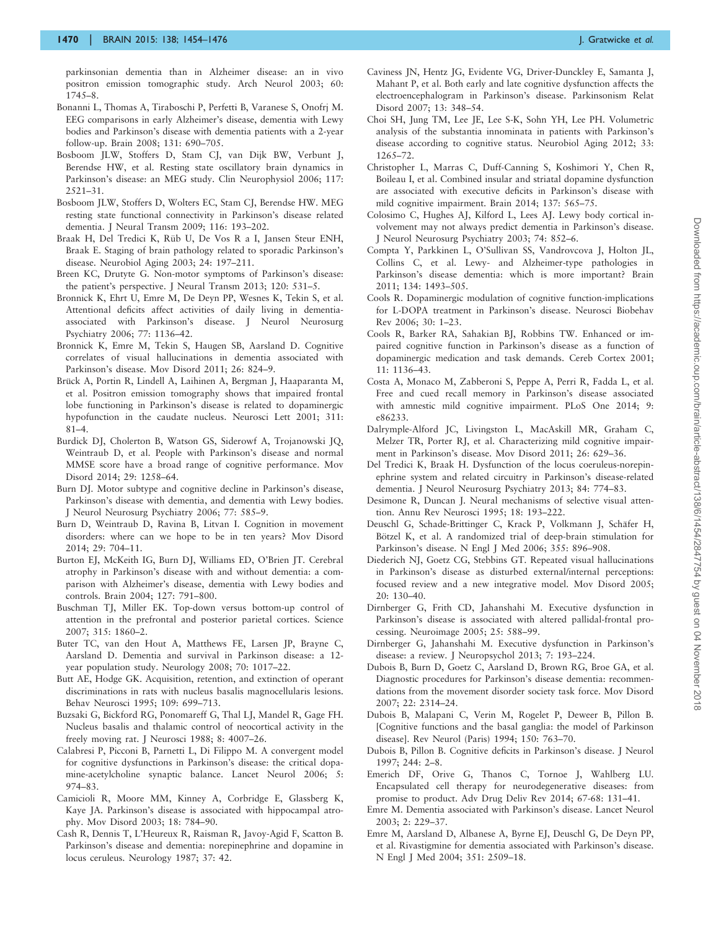<span id="page-16-0"></span>parkinsonian dementia than in Alzheimer disease: an in vivo positron emission tomographic study. Arch Neurol 2003; 60: 1745–8.

- Bonanni L, Thomas A, Tiraboschi P, Perfetti B, Varanese S, Onofrj M. EEG comparisons in early Alzheimer's disease, dementia with Lewy bodies and Parkinson's disease with dementia patients with a 2-year follow-up. Brain 2008; 131: 690–705.
- Bosboom JLW, Stoffers D, Stam CJ, van Dijk BW, Verbunt J, Berendse HW, et al. Resting state oscillatory brain dynamics in Parkinson's disease: an MEG study. Clin Neurophysiol 2006; 117: 2521–31.
- Bosboom JLW, Stoffers D, Wolters EC, Stam CJ, Berendse HW. MEG resting state functional connectivity in Parkinson's disease related dementia. J Neural Transm 2009; 116: 193–202.
- Braak H, Del Tredici K, Rüb U, De Vos R a I, Jansen Steur ENH, Braak E. Staging of brain pathology related to sporadic Parkinson's disease. Neurobiol Aging 2003; 24: 197–211.
- Breen KC, Drutyte G. Non-motor symptoms of Parkinson's disease: the patient's perspective. J Neural Transm 2013; 120: 531–5.
- Bronnick K, Ehrt U, Emre M, De Deyn PP, Wesnes K, Tekin S, et al. Attentional deficits affect activities of daily living in dementiaassociated with Parkinson's disease. J Neurol Neurosurg Psychiatry 2006; 77: 1136–42.
- Bronnick K, Emre M, Tekin S, Haugen SB, Aarsland D. Cognitive correlates of visual hallucinations in dementia associated with Parkinson's disease. Mov Disord 2011; 26: 824–9.
- Brück A, Portin R, Lindell A, Laihinen A, Bergman J, Haaparanta M, et al. Positron emission tomography shows that impaired frontal lobe functioning in Parkinson's disease is related to dopaminergic hypofunction in the caudate nucleus. Neurosci Lett 2001; 311: 81–4.
- Burdick DJ, Cholerton B, Watson GS, Siderowf A, Trojanowski JQ, Weintraub D, et al. People with Parkinson's disease and normal MMSE score have a broad range of cognitive performance. Mov Disord 2014; 29: 1258–64.
- Burn DJ. Motor subtype and cognitive decline in Parkinson's disease, Parkinson's disease with dementia, and dementia with Lewy bodies. J Neurol Neurosurg Psychiatry 2006; 77: 585–9.
- Burn D, Weintraub D, Ravina B, Litvan I. Cognition in movement disorders: where can we hope to be in ten years? Mov Disord 2014; 29: 704–11.
- Burton EJ, McKeith IG, Burn DJ, Williams ED, O'Brien JT. Cerebral atrophy in Parkinson's disease with and without dementia: a comparison with Alzheimer's disease, dementia with Lewy bodies and controls. Brain 2004; 127: 791–800.
- Buschman TJ, Miller EK. Top-down versus bottom-up control of attention in the prefrontal and posterior parietal cortices. Science 2007; 315: 1860–2.
- Buter TC, van den Hout A, Matthews FE, Larsen JP, Brayne C, Aarsland D. Dementia and survival in Parkinson disease: a 12 year population study. Neurology 2008; 70: 1017–22.
- Butt AE, Hodge GK. Acquisition, retention, and extinction of operant discriminations in rats with nucleus basalis magnocellularis lesions. Behav Neurosci 1995; 109: 699–713.
- Buzsaki G, Bickford RG, Ponomareff G, Thal LJ, Mandel R, Gage FH. Nucleus basalis and thalamic control of neocortical activity in the freely moving rat. J Neurosci 1988; 8: 4007–26.
- Calabresi P, Picconi B, Parnetti L, Di Filippo M. A convergent model for cognitive dysfunctions in Parkinson's disease: the critical dopamine-acetylcholine synaptic balance. Lancet Neurol 2006; 5: 974–83.
- Camicioli R, Moore MM, Kinney A, Corbridge E, Glassberg K, Kaye JA. Parkinson's disease is associated with hippocampal atrophy. Mov Disord 2003; 18: 784–90.
- Cash R, Dennis T, L'Heureux R, Raisman R, Javoy-Agid F, Scatton B. Parkinson's disease and dementia: norepinephrine and dopamine in locus ceruleus. Neurology 1987; 37: 42.
- Caviness JN, Hentz JG, Evidente VG, Driver-Dunckley E, Samanta J, Mahant P, et al. Both early and late cognitive dysfunction affects the electroencephalogram in Parkinson's disease. Parkinsonism Relat Disord 2007; 13: 348–54.
- Choi SH, Jung TM, Lee JE, Lee S-K, Sohn YH, Lee PH. Volumetric analysis of the substantia innominata in patients with Parkinson's disease according to cognitive status. Neurobiol Aging 2012; 33: 1265–72.
- Christopher L, Marras C, Duff-Canning S, Koshimori Y, Chen R, Boileau I, et al. Combined insular and striatal dopamine dysfunction are associated with executive deficits in Parkinson's disease with mild cognitive impairment. Brain 2014; 137: 565–75.
- Colosimo C, Hughes AJ, Kilford L, Lees AJ. Lewy body cortical involvement may not always predict dementia in Parkinson's disease. J Neurol Neurosurg Psychiatry 2003; 74: 852–6.
- Compta Y, Parkkinen L, O'Sullivan SS, Vandrovcova J, Holton JL, Collins C, et al. Lewy- and Alzheimer-type pathologies in Parkinson's disease dementia: which is more important? Brain 2011; 134: 1493–505.
- Cools R. Dopaminergic modulation of cognitive function-implications for L-DOPA treatment in Parkinson's disease. Neurosci Biobehav Rev 2006; 30: 1–23.
- Cools R, Barker RA, Sahakian BJ, Robbins TW. Enhanced or impaired cognitive function in Parkinson's disease as a function of dopaminergic medication and task demands. Cereb Cortex 2001; 11: 1136–43.
- Costa A, Monaco M, Zabberoni S, Peppe A, Perri R, Fadda L, et al. Free and cued recall memory in Parkinson's disease associated with amnestic mild cognitive impairment. PLoS One 2014; 9: e86233.
- Dalrymple-Alford JC, Livingston L, MacAskill MR, Graham C, Melzer TR, Porter RJ, et al. Characterizing mild cognitive impairment in Parkinson's disease. Mov Disord 2011; 26: 629–36.
- Del Tredici K, Braak H. Dysfunction of the locus coeruleus-norepinephrine system and related circuitry in Parkinson's disease-related dementia. J Neurol Neurosurg Psychiatry 2013; 84: 774–83.
- Desimone R, Duncan J. Neural mechanisms of selective visual attention. Annu Rev Neurosci 1995; 18: 193–222.
- Deuschl G, Schade-Brittinger C, Krack P, Volkmann J, Schäfer H, Bötzel K, et al. A randomized trial of deep-brain stimulation for Parkinson's disease. N Engl J Med 2006; 355: 896–908.
- Diederich NJ, Goetz CG, Stebbins GT. Repeated visual hallucinations in Parkinson's disease as disturbed external/internal perceptions: focused review and a new integrative model. Mov Disord 2005; 20: 130–40.
- Dirnberger G, Frith CD, Jahanshahi M. Executive dysfunction in Parkinson's disease is associated with altered pallidal-frontal processing. Neuroimage 2005; 25: 588–99.
- Dirnberger G, Jahanshahi M. Executive dysfunction in Parkinson's disease: a review. J Neuropsychol 2013; 7: 193–224.
- Dubois B, Burn D, Goetz C, Aarsland D, Brown RG, Broe GA, et al. Diagnostic procedures for Parkinson's disease dementia: recommendations from the movement disorder society task force. Mov Disord 2007; 22: 2314–24.
- Dubois B, Malapani C, Verin M, Rogelet P, Deweer B, Pillon B. [Cognitive functions and the basal ganglia: the model of Parkinson disease]. Rev Neurol (Paris) 1994; 150: 763–70.
- Dubois B, Pillon B. Cognitive deficits in Parkinson's disease. J Neurol 1997; 244: 2–8.
- Emerich DF, Orive G, Thanos C, Tornoe J, Wahlberg LU. Encapsulated cell therapy for neurodegenerative diseases: from promise to product. Adv Drug Deliv Rev 2014; 67-68: 131–41.
- Emre M. Dementia associated with Parkinson's disease. Lancet Neurol 2003; 2: 229–37.
- Emre M, Aarsland D, Albanese A, Byrne EJ, Deuschl G, De Deyn PP, et al. Rivastigmine for dementia associated with Parkinson's disease. N Engl J Med 2004; 351: 2509–18.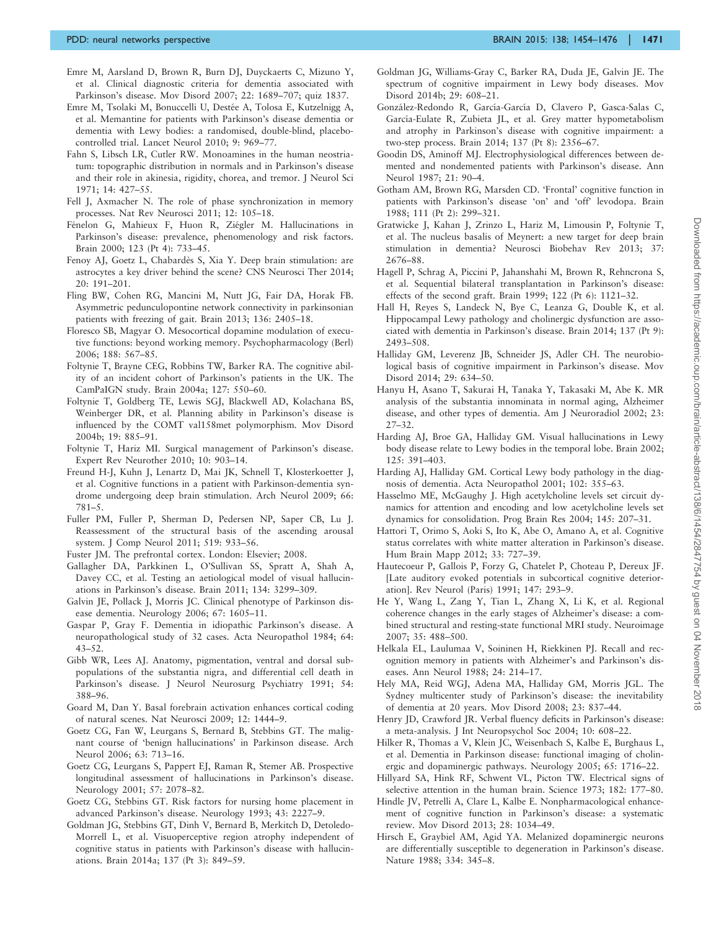- <span id="page-17-0"></span>Emre M, Aarsland D, Brown R, Burn DJ, Duyckaerts C, Mizuno Y, et al. Clinical diagnostic criteria for dementia associated with Parkinson's disease. Mov Disord 2007; 22: 1689–707; quiz 1837.
- Emre M, Tsolaki M, Bonuccelli U, Destée A, Tolosa E, Kutzelnigg A, et al. Memantine for patients with Parkinson's disease dementia or dementia with Lewy bodies: a randomised, double-blind, placebocontrolled trial. Lancet Neurol 2010; 9: 969–77.
- Fahn S, Libsch LR, Cutler RW. Monoamines in the human neostriatum: topographic distribution in normals and in Parkinson's disease and their role in akinesia, rigidity, chorea, and tremor. J Neurol Sci 1971; 14: 427–55.
- Fell J, Axmacher N. The role of phase synchronization in memory processes. Nat Rev Neurosci 2011; 12: 105–18.
- Fénelon G, Mahieux F, Huon R, Ziégler M. Hallucinations in Parkinson's disease: prevalence, phenomenology and risk factors. Brain 2000; 123 (Pt 4): 733–45.
- Fenoy AJ, Goetz L, Chabardès S, Xia Y. Deep brain stimulation: are astrocytes a key driver behind the scene? CNS Neurosci Ther 2014; 20: 191–201.
- Fling BW, Cohen RG, Mancini M, Nutt JG, Fair DA, Horak FB. Asymmetric pedunculopontine network connectivity in parkinsonian patients with freezing of gait. Brain 2013; 136: 2405–18.
- Floresco SB, Magyar O. Mesocortical dopamine modulation of executive functions: beyond working memory. Psychopharmacology (Berl) 2006; 188: 567–85.
- Foltynie T, Brayne CEG, Robbins TW, Barker RA. The cognitive ability of an incident cohort of Parkinson's patients in the UK. The CamPaIGN study. Brain 2004a; 127: 550–60.
- Foltynie T, Goldberg TE, Lewis SGJ, Blackwell AD, Kolachana BS, Weinberger DR, et al. Planning ability in Parkinson's disease is influenced by the COMT val158met polymorphism. Mov Disord 2004b; 19: 885–91.
- Foltynie T, Hariz MI. Surgical management of Parkinson's disease. Expert Rev Neurother 2010; 10: 903–14.
- Freund H-J, Kuhn J, Lenartz D, Mai JK, Schnell T, Klosterkoetter J, et al. Cognitive functions in a patient with Parkinson-dementia syndrome undergoing deep brain stimulation. Arch Neurol 2009; 66: 781–5.
- Fuller PM, Fuller P, Sherman D, Pedersen NP, Saper CB, Lu J. Reassessment of the structural basis of the ascending arousal system. J Comp Neurol 2011; 519: 933–56.
- Fuster JM. The prefrontal cortex. London: Elsevier; 2008.
- Gallagher DA, Parkkinen L, O'Sullivan SS, Spratt A, Shah A, Davey CC, et al. Testing an aetiological model of visual hallucinations in Parkinson's disease. Brain 2011; 134: 3299–309.
- Galvin JE, Pollack J, Morris JC. Clinical phenotype of Parkinson disease dementia. Neurology 2006; 67: 1605–11.
- Gaspar P, Gray F. Dementia in idiopathic Parkinson's disease. A neuropathological study of 32 cases. Acta Neuropathol 1984; 64: 43–52.
- Gibb WR, Lees AJ. Anatomy, pigmentation, ventral and dorsal subpopulations of the substantia nigra, and differential cell death in Parkinson's disease. J Neurol Neurosurg Psychiatry 1991; 54: 388–96.
- Goard M, Dan Y. Basal forebrain activation enhances cortical coding of natural scenes. Nat Neurosci 2009; 12: 1444–9.
- Goetz CG, Fan W, Leurgans S, Bernard B, Stebbins GT. The malignant course of 'benign hallucinations' in Parkinson disease. Arch Neurol 2006; 63: 713–16.
- Goetz CG, Leurgans S, Pappert EJ, Raman R, Stemer AB. Prospective longitudinal assessment of hallucinations in Parkinson's disease. Neurology 2001; 57: 2078–82.
- Goetz CG, Stebbins GT. Risk factors for nursing home placement in advanced Parkinson's disease. Neurology 1993; 43: 2227–9.
- Goldman JG, Stebbins GT, Dinh V, Bernard B, Merkitch D, Detoledo-Morrell L, et al. Visuoperceptive region atrophy independent of cognitive status in patients with Parkinson's disease with hallucinations. Brain 2014a; 137 (Pt 3): 849–59.
- Goldman JG, Williams-Gray C, Barker RA, Duda JE, Galvin JE. The spectrum of cognitive impairment in Lewy body diseases. Mov Disord 2014b; 29: 608–21.
- González-Redondo R, García-García D, Clavero P, Gasca-Salas C, García-Eulate R, Zubieta JL, et al. Grey matter hypometabolism and atrophy in Parkinson's disease with cognitive impairment: a two-step process. Brain 2014; 137 (Pt 8): 2356–67.
- Goodin DS, Aminoff MJ. Electrophysiological differences between demented and nondemented patients with Parkinson's disease. Ann Neurol 1987; 21: 90–4.
- Gotham AM, Brown RG, Marsden CD. 'Frontal' cognitive function in patients with Parkinson's disease 'on' and 'off' levodopa. Brain 1988; 111 (Pt 2): 299–321.
- Gratwicke J, Kahan J, Zrinzo L, Hariz M, Limousin P, Foltynie T, et al. The nucleus basalis of Meynert: a new target for deep brain stimulation in dementia? Neurosci Biobehav Rev 2013; 37: 2676–88.
- Hagell P, Schrag A, Piccini P, Jahanshahi M, Brown R, Rehncrona S, et al. Sequential bilateral transplantation in Parkinson's disease: effects of the second graft. Brain 1999; 122 (Pt 6): 1121–32.
- Hall H, Reyes S, Landeck N, Bye C, Leanza G, Double K, et al. Hippocampal Lewy pathology and cholinergic dysfunction are associated with dementia in Parkinson's disease. Brain 2014; 137 (Pt 9): 2493–508.
- Halliday GM, Leverenz JB, Schneider JS, Adler CH. The neurobiological basis of cognitive impairment in Parkinson's disease. Mov Disord 2014; 29: 634–50.
- Hanyu H, Asano T, Sakurai H, Tanaka Y, Takasaki M, Abe K. MR analysis of the substantia innominata in normal aging, Alzheimer disease, and other types of dementia. Am J Neuroradiol 2002; 23: 27–32.
- Harding AJ, Broe GA, Halliday GM. Visual hallucinations in Lewy body disease relate to Lewy bodies in the temporal lobe. Brain 2002; 125: 391–403.
- Harding AJ, Halliday GM. Cortical Lewy body pathology in the diagnosis of dementia. Acta Neuropathol 2001; 102: 355–63.
- Hasselmo ME, McGaughy J. High acetylcholine levels set circuit dynamics for attention and encoding and low acetylcholine levels set dynamics for consolidation. Prog Brain Res 2004; 145: 207–31.
- Hattori T, Orimo S, Aoki S, Ito K, Abe O, Amano A, et al. Cognitive status correlates with white matter alteration in Parkinson's disease. Hum Brain Mapp 2012; 33: 727–39.
- Hautecoeur P, Gallois P, Forzy G, Chatelet P, Choteau P, Dereux JF. [Late auditory evoked potentials in subcortical cognitive deterioration]. Rev Neurol (Paris) 1991; 147: 293–9.
- He Y, Wang L, Zang Y, Tian L, Zhang X, Li K, et al. Regional coherence changes in the early stages of Alzheimer's disease: a combined structural and resting-state functional MRI study. Neuroimage 2007; 35: 488–500.
- Helkala EL, Laulumaa V, Soininen H, Riekkinen PJ. Recall and recognition memory in patients with Alzheimer's and Parkinson's diseases. Ann Neurol 1988; 24: 214–17.
- Hely MA, Reid WGJ, Adena MA, Halliday GM, Morris JGL. The Sydney multicenter study of Parkinson's disease: the inevitability of dementia at 20 years. Mov Disord 2008; 23: 837–44.
- Henry JD, Crawford JR. Verbal fluency deficits in Parkinson's disease: a meta-analysis. J Int Neuropsychol Soc 2004; 10: 608–22.
- Hilker R, Thomas a V, Klein JC, Weisenbach S, Kalbe E, Burghaus L, et al. Dementia in Parkinson disease: functional imaging of cholinergic and dopaminergic pathways. Neurology 2005; 65: 1716–22.
- Hillyard SA, Hink RF, Schwent VL, Picton TW. Electrical signs of selective attention in the human brain. Science 1973; 182: 177–80.
- Hindle JV, Petrelli A, Clare L, Kalbe E. Nonpharmacological enhancement of cognitive function in Parkinson's disease: a systematic review. Mov Disord 2013; 28: 1034–49.
- Hirsch E, Graybiel AM, Agid YA. Melanized dopaminergic neurons are differentially susceptible to degeneration in Parkinson's disease. Nature 1988; 334: 345–8.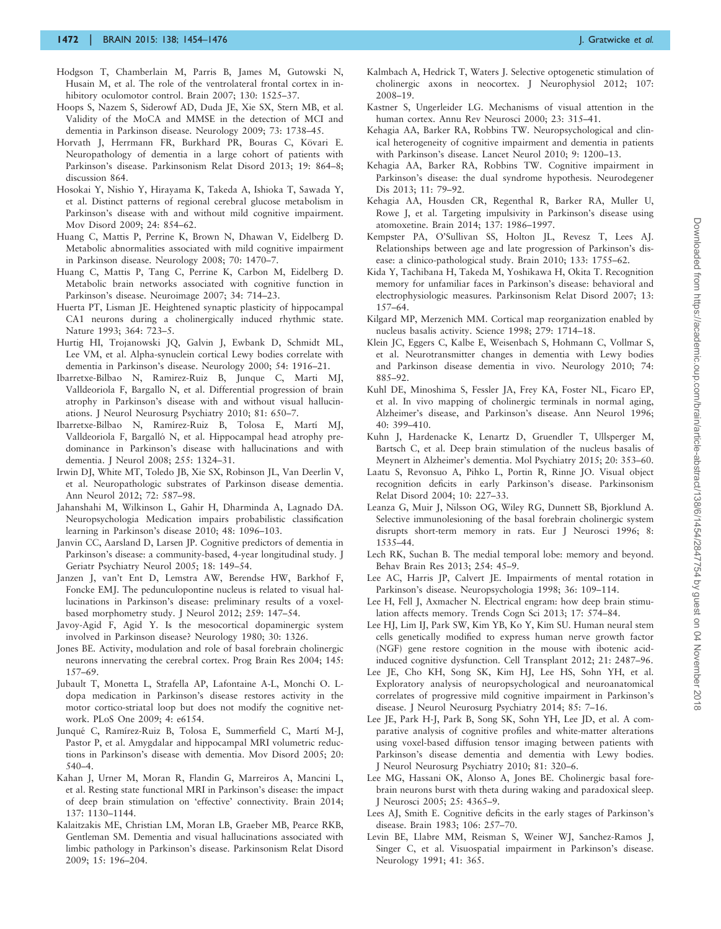- <span id="page-18-0"></span>Hodgson T, Chamberlain M, Parris B, James M, Gutowski N, Husain M, et al. The role of the ventrolateral frontal cortex in inhibitory oculomotor control. Brain 2007; 130: 1525-37.
- Hoops S, Nazem S, Siderowf AD, Duda JE, Xie SX, Stern MB, et al. Validity of the MoCA and MMSE in the detection of MCI and dementia in Parkinson disease. Neurology 2009; 73: 1738–45.
- Horvath J, Herrmann FR, Burkhard PR, Bouras C, Kövari E. Neuropathology of dementia in a large cohort of patients with Parkinson's disease. Parkinsonism Relat Disord 2013; 19: 864–8; discussion 864.
- Hosokai Y, Nishio Y, Hirayama K, Takeda A, Ishioka T, Sawada Y, et al. Distinct patterns of regional cerebral glucose metabolism in Parkinson's disease with and without mild cognitive impairment. Mov Disord 2009; 24: 854–62.
- Huang C, Mattis P, Perrine K, Brown N, Dhawan V, Eidelberg D. Metabolic abnormalities associated with mild cognitive impairment in Parkinson disease. Neurology 2008; 70: 1470–7.
- Huang C, Mattis P, Tang C, Perrine K, Carbon M, Eidelberg D. Metabolic brain networks associated with cognitive function in Parkinson's disease. Neuroimage 2007; 34: 714–23.
- Huerta PT, Lisman JE. Heightened synaptic plasticity of hippocampal CA1 neurons during a cholinergically induced rhythmic state. Nature 1993; 364: 723–5.
- Hurtig HI, Trojanowski JQ, Galvin J, Ewbank D, Schmidt ML, Lee VM, et al. Alpha-synuclein cortical Lewy bodies correlate with dementia in Parkinson's disease. Neurology 2000; 54: 1916–21.
- Ibarretxe-Bilbao N, Ramirez-Ruiz B, Junque C, Marti MJ, Valldeoriola F, Bargallo N, et al. Differential progression of brain atrophy in Parkinson's disease with and without visual hallucinations. J Neurol Neurosurg Psychiatry 2010; 81: 650–7.
- Ibarretxe-Bilbao N, Ramírez-Ruiz B, Tolosa E, Martí MJ, Valldeoriola F, Bargalló N, et al. Hippocampal head atrophy predominance in Parkinson's disease with hallucinations and with dementia. J Neurol 2008; 255: 1324–31.
- Irwin DJ, White MT, Toledo JB, Xie SX, Robinson JL, Van Deerlin V, et al. Neuropathologic substrates of Parkinson disease dementia. Ann Neurol 2012; 72: 587–98.
- Jahanshahi M, Wilkinson L, Gahir H, Dharminda A, Lagnado DA. Neuropsychologia Medication impairs probabilistic classification learning in Parkinson's disease 2010; 48: 1096–103.
- Janvin CC, Aarsland D, Larsen JP. Cognitive predictors of dementia in Parkinson's disease: a community-based, 4-year longitudinal study. J Geriatr Psychiatry Neurol 2005; 18: 149–54.
- Janzen J, van't Ent D, Lemstra AW, Berendse HW, Barkhof F, Foncke EMJ. The pedunculopontine nucleus is related to visual hallucinations in Parkinson's disease: preliminary results of a voxelbased morphometry study. J Neurol 2012; 259: 147–54.
- Javoy-Agid F, Agid Y. Is the mesocortical dopaminergic system involved in Parkinson disease? Neurology 1980; 30: 1326.
- Jones BE. Activity, modulation and role of basal forebrain cholinergic neurons innervating the cerebral cortex. Prog Brain Res 2004; 145: 157–69.
- Jubault T, Monetta L, Strafella AP, Lafontaine A-L, Monchi O. Ldopa medication in Parkinson's disease restores activity in the motor cortico-striatal loop but does not modify the cognitive network. PLoS One 2009; 4: e6154.
- Junqué C, Ramírez-Ruiz B, Tolosa E, Summerfield C, Martí M-J, Pastor P, et al. Amygdalar and hippocampal MRI volumetric reductions in Parkinson's disease with dementia. Mov Disord 2005; 20: 540–4.
- Kahan J, Urner M, Moran R, Flandin G, Marreiros A, Mancini L, et al. Resting state functional MRI in Parkinson's disease: the impact of deep brain stimulation on 'effective' connectivity. Brain 2014; 137: 1130–1144.
- Kalaitzakis ME, Christian LM, Moran LB, Graeber MB, Pearce RKB, Gentleman SM. Dementia and visual hallucinations associated with limbic pathology in Parkinson's disease. Parkinsonism Relat Disord 2009; 15: 196–204.
- Kalmbach A, Hedrick T, Waters J. Selective optogenetic stimulation of cholinergic axons in neocortex. J Neurophysiol 2012; 107: 2008–19.
- Kastner S, Ungerleider LG. Mechanisms of visual attention in the human cortex. Annu Rev Neurosci 2000; 23: 315–41.
- Kehagia AA, Barker RA, Robbins TW. Neuropsychological and clinical heterogeneity of cognitive impairment and dementia in patients with Parkinson's disease. Lancet Neurol 2010; 9: 1200–13.
- Kehagia AA, Barker RA, Robbins TW. Cognitive impairment in Parkinson's disease: the dual syndrome hypothesis. Neurodegener Dis 2013; 11: 79–92.
- Kehagia AA, Housden CR, Regenthal R, Barker RA, Muller U, Rowe J, et al. Targeting impulsivity in Parkinson's disease using atomoxetine. Brain 2014; 137: 1986–1997.
- Kempster PA, O'Sullivan SS, Holton JL, Revesz T, Lees AJ. Relationships between age and late progression of Parkinson's disease: a clinico-pathological study. Brain 2010; 133: 1755–62.
- Kida Y, Tachibana H, Takeda M, Yoshikawa H, Okita T. Recognition memory for unfamiliar faces in Parkinson's disease: behavioral and electrophysiologic measures. Parkinsonism Relat Disord 2007; 13: 157–64.
- Kilgard MP, Merzenich MM. Cortical map reorganization enabled by nucleus basalis activity. Science 1998; 279: 1714–18.
- Klein JC, Eggers C, Kalbe E, Weisenbach S, Hohmann C, Vollmar S, et al. Neurotransmitter changes in dementia with Lewy bodies and Parkinson disease dementia in vivo. Neurology 2010; 74: 885–92.
- Kuhl DE, Minoshima S, Fessler JA, Frey KA, Foster NL, Ficaro EP, et al. In vivo mapping of cholinergic terminals in normal aging, Alzheimer's disease, and Parkinson's disease. Ann Neurol 1996; 40: 399–410.
- Kuhn J, Hardenacke K, Lenartz D, Gruendler T, Ullsperger M, Bartsch C, et al. Deep brain stimulation of the nucleus basalis of Meynert in Alzheimer's dementia. Mol Psychiatry 2015; 20: 353–60.
- Laatu S, Revonsuo A, Pihko L, Portin R, Rinne JO. Visual object recognition deficits in early Parkinson's disease. Parkinsonism Relat Disord 2004; 10: 227–33.
- Leanza G, Muir J, Nilsson OG, Wiley RG, Dunnett SB, Bjorklund A. Selective immunolesioning of the basal forebrain cholinergic system disrupts short-term memory in rats. Eur J Neurosci 1996; 8: 1535–44.
- Lech RK, Suchan B. The medial temporal lobe: memory and beyond. Behav Brain Res 2013; 254: 45–9.
- Lee AC, Harris JP, Calvert JE. Impairments of mental rotation in Parkinson's disease. Neuropsychologia 1998; 36: 109–114.
- Lee H, Fell J, Axmacher N. Electrical engram: how deep brain stimulation affects memory. Trends Cogn Sci 2013; 17: 574–84.
- Lee HJ, Lim IJ, Park SW, Kim YB, Ko Y, Kim SU. Human neural stem cells genetically modified to express human nerve growth factor (NGF) gene restore cognition in the mouse with ibotenic acidinduced cognitive dysfunction. Cell Transplant 2012; 21: 2487–96.
- Lee JE, Cho KH, Song SK, Kim HJ, Lee HS, Sohn YH, et al. Exploratory analysis of neuropsychological and neuroanatomical correlates of progressive mild cognitive impairment in Parkinson's disease. J Neurol Neurosurg Psychiatry 2014; 85: 7–16.
- Lee JE, Park H-J, Park B, Song SK, Sohn YH, Lee JD, et al. A comparative analysis of cognitive profiles and white-matter alterations using voxel-based diffusion tensor imaging between patients with Parkinson's disease dementia and dementia with Lewy bodies. J Neurol Neurosurg Psychiatry 2010; 81: 320–6.
- Lee MG, Hassani OK, Alonso A, Jones BE. Cholinergic basal forebrain neurons burst with theta during waking and paradoxical sleep. J Neurosci 2005; 25: 4365–9.
- Lees AJ, Smith E. Cognitive deficits in the early stages of Parkinson's disease. Brain 1983; 106: 257–70.
- Levin BE, Llabre MM, Reisman S, Weiner WJ, Sanchez-Ramos J, Singer C, et al. Visuospatial impairment in Parkinson's disease. Neurology 1991; 41: 365.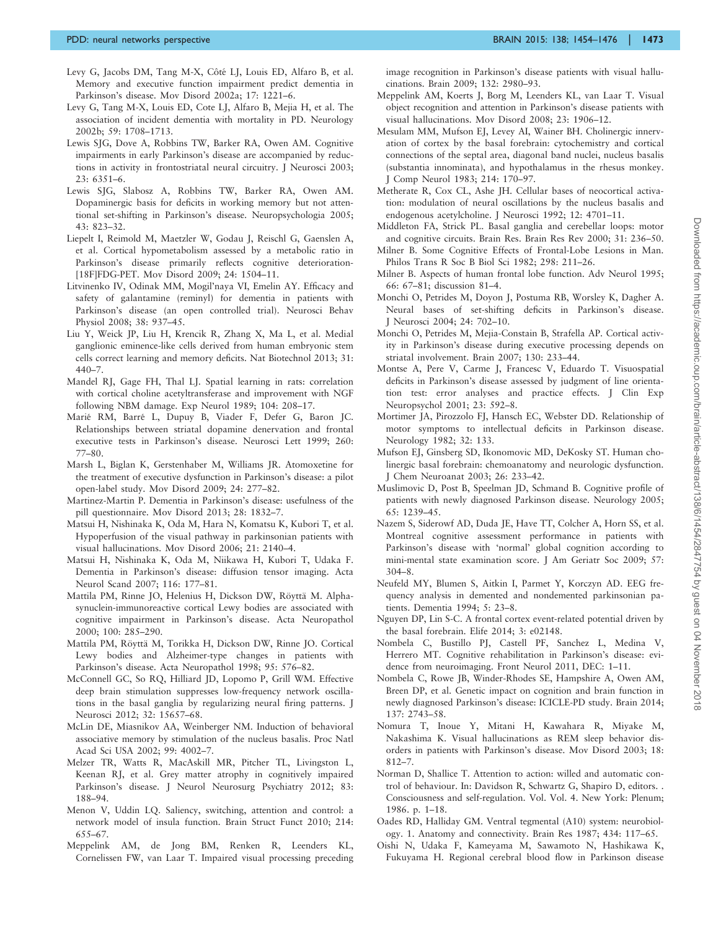- <span id="page-19-0"></span>Levy G, Jacobs DM, Tang M-X, Côté LJ, Louis ED, Alfaro B, et al. Memory and executive function impairment predict dementia in Parkinson's disease. Mov Disord 2002a; 17: 1221–6.
- Levy G, Tang M-X, Louis ED, Cote LJ, Alfaro B, Mejia H, et al. The association of incident dementia with mortality in PD. Neurology 2002b; 59: 1708–1713.
- Lewis SJG, Dove A, Robbins TW, Barker RA, Owen AM. Cognitive impairments in early Parkinson's disease are accompanied by reductions in activity in frontostriatal neural circuitry. J Neurosci 2003; 23: 6351–6.
- Lewis SJG, Slabosz A, Robbins TW, Barker RA, Owen AM. Dopaminergic basis for deficits in working memory but not attentional set-shifting in Parkinson's disease. Neuropsychologia 2005; 43: 823–32.
- Liepelt I, Reimold M, Maetzler W, Godau J, Reischl G, Gaenslen A, et al. Cortical hypometabolism assessed by a metabolic ratio in Parkinson's disease primarily reflects cognitive deterioration- [18F]FDG-PET. Mov Disord 2009; 24: 1504–11.
- Litvinenko IV, Odinak MM, Mogil'naya VI, Emelin AY. Efficacy and safety of galantamine (reminyl) for dementia in patients with Parkinson's disease (an open controlled trial). Neurosci Behav Physiol 2008; 38: 937–45.
- Liu Y, Weick JP, Liu H, Krencik R, Zhang X, Ma L, et al. Medial ganglionic eminence-like cells derived from human embryonic stem cells correct learning and memory deficits. Nat Biotechnol 2013; 31:  $440 - 7$ .
- Mandel RJ, Gage FH, Thal LJ. Spatial learning in rats: correlation with cortical choline acetyltransferase and improvement with NGF following NBM damage. Exp Neurol 1989; 104: 208–17.
- Marié RM, Barré L, Dupuy B, Viader F, Defer G, Baron JC. Relationships between striatal dopamine denervation and frontal executive tests in Parkinson's disease. Neurosci Lett 1999; 260: 77–80.
- Marsh L, Biglan K, Gerstenhaber M, Williams JR. Atomoxetine for the treatment of executive dysfunction in Parkinson's disease: a pilot open-label study. Mov Disord 2009; 24: 277–82.
- Martinez-Martin P. Dementia in Parkinson's disease: usefulness of the pill questionnaire. Mov Disord 2013; 28: 1832–7.
- Matsui H, Nishinaka K, Oda M, Hara N, Komatsu K, Kubori T, et al. Hypoperfusion of the visual pathway in parkinsonian patients with visual hallucinations. Mov Disord 2006; 21: 2140–4.
- Matsui H, Nishinaka K, Oda M, Niikawa H, Kubori T, Udaka F. Dementia in Parkinson's disease: diffusion tensor imaging. Acta Neurol Scand 2007; 116: 177–81.
- Mattila PM, Rinne JO, Helenius H, Dickson DW, Röyttä M. Alphasynuclein-immunoreactive cortical Lewy bodies are associated with cognitive impairment in Parkinson's disease. Acta Neuropathol 2000; 100: 285–290.
- Mattila PM, Röyttä M, Torikka H, Dickson DW, Rinne JO. Cortical Lewy bodies and Alzheimer-type changes in patients with Parkinson's disease. Acta Neuropathol 1998; 95: 576–82.
- McConnell GC, So RQ, Hilliard JD, Lopomo P, Grill WM. Effective deep brain stimulation suppresses low-frequency network oscillations in the basal ganglia by regularizing neural firing patterns. J Neurosci 2012; 32: 15657–68.
- McLin DE, Miasnikov AA, Weinberger NM. Induction of behavioral associative memory by stimulation of the nucleus basalis. Proc Natl Acad Sci USA 2002; 99: 4002–7.
- Melzer TR, Watts R, MacAskill MR, Pitcher TL, Livingston L, Keenan RJ, et al. Grey matter atrophy in cognitively impaired Parkinson's disease. J Neurol Neurosurg Psychiatry 2012; 83: 188–94.
- Menon V, Uddin LQ. Saliency, switching, attention and control: a network model of insula function. Brain Struct Funct 2010; 214: 655–67.
- Meppelink AM, de Jong BM, Renken R, Leenders KL, Cornelissen FW, van Laar T. Impaired visual processing preceding

image recognition in Parkinson's disease patients with visual hallucinations. Brain 2009; 132: 2980–93.

- Meppelink AM, Koerts J, Borg M, Leenders KL, van Laar T. Visual object recognition and attention in Parkinson's disease patients with visual hallucinations. Mov Disord 2008; 23: 1906–12.
- Mesulam MM, Mufson EJ, Levey AI, Wainer BH. Cholinergic innervation of cortex by the basal forebrain: cytochemistry and cortical connections of the septal area, diagonal band nuclei, nucleus basalis (substantia innominata), and hypothalamus in the rhesus monkey. J Comp Neurol 1983; 214: 170–97.
- Metherate R, Cox CL, Ashe JH. Cellular bases of neocortical activation: modulation of neural oscillations by the nucleus basalis and endogenous acetylcholine. J Neurosci 1992; 12: 4701–11.
- Middleton FA, Strick PL. Basal ganglia and cerebellar loops: motor and cognitive circuits. Brain Res. Brain Res Rev 2000; 31: 236–50.
- Milner B. Some Cognitive Effects of Frontal-Lobe Lesions in Man. Philos Trans R Soc B Biol Sci 1982; 298: 211–26.
- Milner B. Aspects of human frontal lobe function. Adv Neurol 1995; 66: 67–81; discussion 81–4.
- Monchi O, Petrides M, Doyon J, Postuma RB, Worsley K, Dagher A. Neural bases of set-shifting deficits in Parkinson's disease. J Neurosci 2004; 24: 702–10.
- Monchi O, Petrides M, Mejia-Constain B, Strafella AP. Cortical activity in Parkinson's disease during executive processing depends on striatal involvement. Brain 2007; 130: 233–44.
- Montse A, Pere V, Carme J, Francesc V, Eduardo T. Visuospatial deficits in Parkinson's disease assessed by judgment of line orientation test: error analyses and practice effects. J Clin Exp Neuropsychol 2001; 23: 592–8.
- Mortimer JA, Pirozzolo FJ, Hansch EC, Webster DD. Relationship of motor symptoms to intellectual deficits in Parkinson disease. Neurology 1982; 32: 133.
- Mufson EJ, Ginsberg SD, Ikonomovic MD, DeKosky ST. Human cholinergic basal forebrain: chemoanatomy and neurologic dysfunction. Chem Neuroanat 2003; 26: 233-42.
- Muslimovic D, Post B, Speelman JD, Schmand B. Cognitive profile of patients with newly diagnosed Parkinson disease. Neurology 2005; 65: 1239–45.
- Nazem S, Siderowf AD, Duda JE, Have TT, Colcher A, Horn SS, et al. Montreal cognitive assessment performance in patients with Parkinson's disease with 'normal' global cognition according to mini-mental state examination score. J Am Geriatr Soc 2009; 57: 304–8.
- Neufeld MY, Blumen S, Aitkin I, Parmet Y, Korczyn AD. EEG frequency analysis in demented and nondemented parkinsonian patients. Dementia 1994; 5: 23–8.
- Nguyen DP, Lin S-C. A frontal cortex event-related potential driven by the basal forebrain. Elife 2014; 3: e02148.
- Nombela C, Bustillo PJ, Castell PF, Sanchez L, Medina V, Herrero MT. Cognitive rehabilitation in Parkinson's disease: evidence from neuroimaging. Front Neurol 2011, DEC: 1–11.
- Nombela C, Rowe JB, Winder-Rhodes SE, Hampshire A, Owen AM, Breen DP, et al. Genetic impact on cognition and brain function in newly diagnosed Parkinson's disease: ICICLE-PD study. Brain 2014; 137: 2743–58.
- Nomura T, Inoue Y, Mitani H, Kawahara R, Miyake M, Nakashima K. Visual hallucinations as REM sleep behavior disorders in patients with Parkinson's disease. Mov Disord 2003; 18: 812–7.
- Norman D, Shallice T. Attention to action: willed and automatic control of behaviour. In: Davidson R, Schwartz G, Shapiro D, editors. . Consciousness and self-regulation. Vol. Vol. 4. New York: Plenum; 1986. p. 1–18.
- Oades RD, Halliday GM. Ventral tegmental (A10) system: neurobiology. 1. Anatomy and connectivity. Brain Res 1987; 434: 117–65.
- Oishi N, Udaka F, Kameyama M, Sawamoto N, Hashikawa K, Fukuyama H. Regional cerebral blood flow in Parkinson disease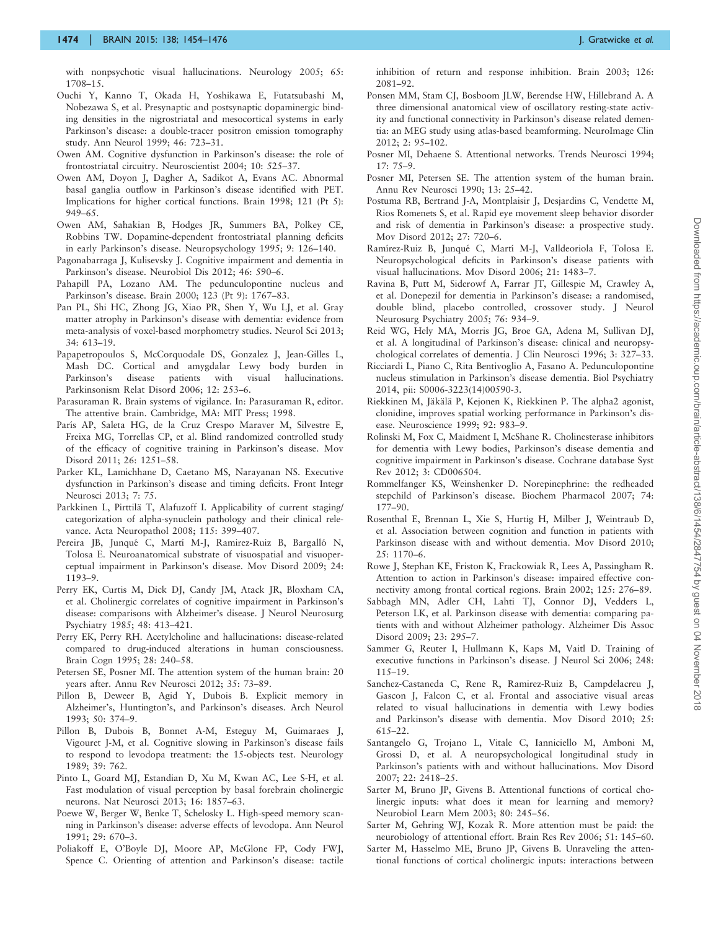<span id="page-20-0"></span>with nonpsychotic visual hallucinations. Neurology 2005; 65: 1708–15.

- Ouchi Y, Kanno T, Okada H, Yoshikawa E, Futatsubashi M, Nobezawa S, et al. Presynaptic and postsynaptic dopaminergic binding densities in the nigrostriatal and mesocortical systems in early Parkinson's disease: a double-tracer positron emission tomography study. Ann Neurol 1999; 46: 723–31.
- Owen AM. Cognitive dysfunction in Parkinson's disease: the role of frontostriatal circuitry. Neuroscientist 2004; 10: 525–37.
- Owen AM, Doyon J, Dagher A, Sadikot A, Evans AC. Abnormal basal ganglia outflow in Parkinson's disease identified with PET. Implications for higher cortical functions. Brain 1998; 121 (Pt 5): 949–65.
- Owen AM, Sahakian B, Hodges JR, Summers BA, Polkey CE, Robbins TW. Dopamine-dependent frontostriatal planning deficits in early Parkinson's disease. Neuropsychology 1995; 9: 126–140.
- Pagonabarraga J, Kulisevsky J. Cognitive impairment and dementia in Parkinson's disease. Neurobiol Dis 2012; 46: 590–6.
- Pahapill PA, Lozano AM. The pedunculopontine nucleus and Parkinson's disease. Brain 2000; 123 (Pt 9): 1767–83.
- Pan PL, Shi HC, Zhong JG, Xiao PR, Shen Y, Wu LJ, et al. Gray matter atrophy in Parkinson's disease with dementia: evidence from meta-analysis of voxel-based morphometry studies. Neurol Sci 2013; 34: 613–19.
- Papapetropoulos S, McCorquodale DS, Gonzalez J, Jean-Gilles L, Mash DC. Cortical and amygdalar Lewy body burden in Parkinson's disease patients with visual hallucinations. Parkinsonism Relat Disord 2006; 12: 253–6.
- Parasuraman R. Brain systems of vigilance. In: Parasuraman R, editor. The attentive brain. Cambridge, MA: MIT Press; 1998.
- París AP, Saleta HG, de la Cruz Crespo Maraver M, Silvestre E, Freixa MG, Torrellas CP, et al. Blind randomized controlled study of the efficacy of cognitive training in Parkinson's disease. Mov Disord 2011; 26: 1251–58.
- Parker KL, Lamichhane D, Caetano MS, Narayanan NS. Executive dysfunction in Parkinson's disease and timing deficits. Front Integr Neurosci 2013; 7: 75.
- Parkkinen L, Pirttilä T, Alafuzoff I. Applicability of current staging/ categorization of alpha-synuclein pathology and their clinical relevance. Acta Neuropathol 2008; 115: 399–407.
- Pereira JB, Junqué C, Martí M-J, Ramirez-Ruiz B, Bargalló N, Tolosa E. Neuroanatomical substrate of visuospatial and visuoperceptual impairment in Parkinson's disease. Mov Disord 2009; 24: 1193–9.
- Perry EK, Curtis M, Dick DJ, Candy JM, Atack JR, Bloxham CA, et al. Cholinergic correlates of cognitive impairment in Parkinson's disease: comparisons with Alzheimer's disease. J Neurol Neurosurg Psychiatry 1985; 48: 413–421.
- Perry EK, Perry RH. Acetylcholine and hallucinations: disease-related compared to drug-induced alterations in human consciousness. Brain Cogn 1995; 28: 240–58.
- Petersen SE, Posner MI. The attention system of the human brain: 20 years after. Annu Rev Neurosci 2012; 35: 73–89.
- Pillon B, Deweer B, Agid Y, Dubois B. Explicit memory in Alzheimer's, Huntington's, and Parkinson's diseases. Arch Neurol 1993; 50: 374–9.
- Pillon B, Dubois B, Bonnet A-M, Esteguy M, Guimaraes J, Vigouret J-M, et al. Cognitive slowing in Parkinson's disease fails to respond to levodopa treatment: the 15-objects test. Neurology 1989; 39: 762.
- Pinto L, Goard MJ, Estandian D, Xu M, Kwan AC, Lee S-H, et al. Fast modulation of visual perception by basal forebrain cholinergic neurons. Nat Neurosci 2013; 16: 1857–63.
- Poewe W, Berger W, Benke T, Schelosky L. High-speed memory scanning in Parkinson's disease: adverse effects of levodopa. Ann Neurol 1991; 29: 670–3.
- Poliakoff E, O'Boyle DJ, Moore AP, McGlone FP, Cody FWJ, Spence C. Orienting of attention and Parkinson's disease: tactile

inhibition of return and response inhibition. Brain 2003; 126: 2081–92.

- Ponsen MM, Stam CJ, Bosboom JLW, Berendse HW, Hillebrand A. A three dimensional anatomical view of oscillatory resting-state activity and functional connectivity in Parkinson's disease related dementia: an MEG study using atlas-based beamforming. NeuroImage Clin 2012; 2: 95–102.
- Posner MI, Dehaene S. Attentional networks. Trends Neurosci 1994; 17: 75–9.
- Posner MI, Petersen SE. The attention system of the human brain. Annu Rev Neurosci 1990; 13: 25–42.
- Postuma RB, Bertrand J-A, Montplaisir J, Desjardins C, Vendette M, Rios Romenets S, et al. Rapid eye movement sleep behavior disorder and risk of dementia in Parkinson's disease: a prospective study. Mov Disord 2012; 27: 720–6.
- Ramírez-Ruiz B, Junqué C, Martí M-J, Valldeoriola F, Tolosa E. Neuropsychological deficits in Parkinson's disease patients with visual hallucinations. Mov Disord 2006; 21: 1483–7.
- Ravina B, Putt M, Siderowf A, Farrar JT, Gillespie M, Crawley A, et al. Donepezil for dementia in Parkinson's disease: a randomised, double blind, placebo controlled, crossover study. J Neurol Neurosurg Psychiatry 2005; 76: 934–9.
- Reid WG, Hely MA, Morris JG, Broe GA, Adena M, Sullivan DJ, et al. A longitudinal of Parkinson's disease: clinical and neuropsychological correlates of dementia. J Clin Neurosci 1996; 3: 327–33.
- Ricciardi L, Piano C, Rita Bentivoglio A, Fasano A. Pedunculopontine nucleus stimulation in Parkinson's disease dementia. Biol Psychiatry 2014, pii: S0006-3223(14)00590-3.
- Riekkinen M, Jäkälä P, Kejonen K, Riekkinen P. The alpha2 agonist, clonidine, improves spatial working performance in Parkinson's disease. Neuroscience 1999; 92: 983–9.
- Rolinski M, Fox C, Maidment I, McShane R. Cholinesterase inhibitors for dementia with Lewy bodies, Parkinson's disease dementia and cognitive impairment in Parkinson's disease. Cochrane database Syst Rev 2012; 3: CD006504.
- Rommelfanger KS, Weinshenker D. Norepinephrine: the redheaded stepchild of Parkinson's disease. Biochem Pharmacol 2007; 74: 177–90.
- Rosenthal E, Brennan L, Xie S, Hurtig H, Milber J, Weintraub D, et al. Association between cognition and function in patients with Parkinson disease with and without dementia. Mov Disord 2010; 25: 1170–6.
- Rowe J, Stephan KE, Friston K, Frackowiak R, Lees A, Passingham R. Attention to action in Parkinson's disease: impaired effective connectivity among frontal cortical regions. Brain 2002; 125: 276–89.
- Sabbagh MN, Adler CH, Lahti TJ, Connor DJ, Vedders L, Peterson LK, et al. Parkinson disease with dementia: comparing patients with and without Alzheimer pathology. Alzheimer Dis Assoc Disord 2009; 23: 295–7.
- Sammer G, Reuter I, Hullmann K, Kaps M, Vaitl D. Training of executive functions in Parkinson's disease. J Neurol Sci 2006; 248: 115–19.
- Sanchez-Castaneda C, Rene R, Ramirez-Ruiz B, Campdelacreu J, Gascon J, Falcon C, et al. Frontal and associative visual areas related to visual hallucinations in dementia with Lewy bodies and Parkinson's disease with dementia. Mov Disord 2010; 25: 615–22.
- Santangelo G, Trojano L, Vitale C, Ianniciello M, Amboni M, Grossi D, et al. A neuropsychological longitudinal study in Parkinson's patients with and without hallucinations. Mov Disord 2007; 22: 2418–25.
- Sarter M, Bruno JP, Givens B. Attentional functions of cortical cholinergic inputs: what does it mean for learning and memory? Neurobiol Learn Mem 2003; 80: 245–56.
- Sarter M, Gehring WJ, Kozak R. More attention must be paid: the neurobiology of attentional effort. Brain Res Rev 2006; 51: 145–60.
- Sarter M, Hasselmo ME, Bruno JP, Givens B. Unraveling the attentional functions of cortical cholinergic inputs: interactions between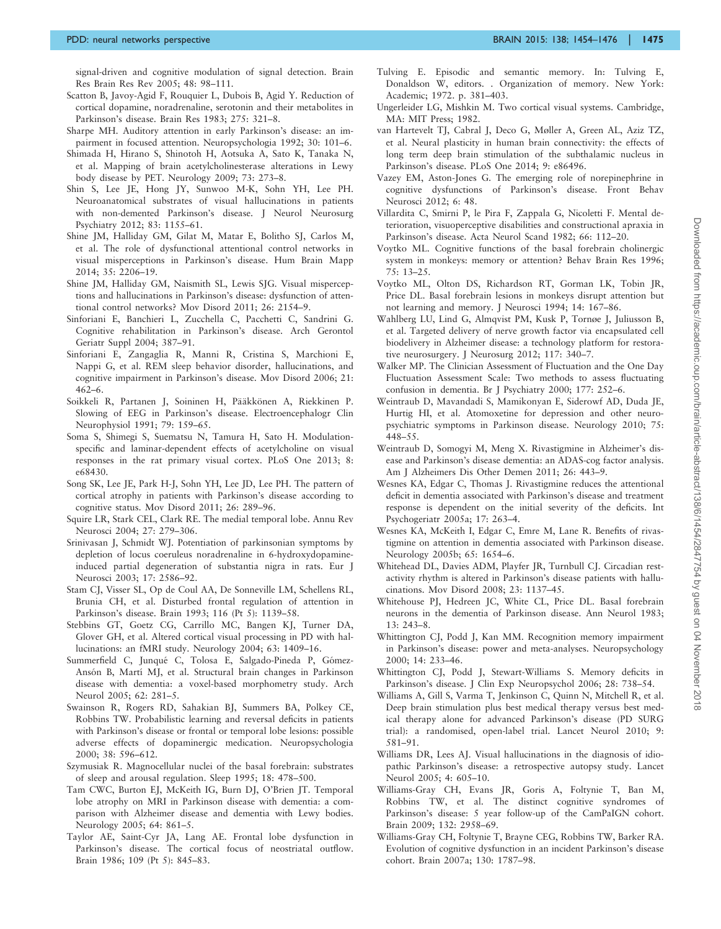<span id="page-21-0"></span>signal-driven and cognitive modulation of signal detection. Brain Res Brain Res Rev 2005; 48: 98–111.

- Scatton B, Javoy-Agid F, Rouquier L, Dubois B, Agid Y. Reduction of cortical dopamine, noradrenaline, serotonin and their metabolites in Parkinson's disease. Brain Res 1983; 275: 321–8.
- Sharpe MH. Auditory attention in early Parkinson's disease: an impairment in focused attention. Neuropsychologia 1992; 30: 101–6.
- Shimada H, Hirano S, Shinotoh H, Aotsuka A, Sato K, Tanaka N, et al. Mapping of brain acetylcholinesterase alterations in Lewy body disease by PET. Neurology 2009; 73: 273–8.
- Shin S, Lee JE, Hong JY, Sunwoo M-K, Sohn YH, Lee PH. Neuroanatomical substrates of visual hallucinations in patients with non-demented Parkinson's disease. J Neurol Neurosurg Psychiatry 2012; 83: 1155–61.
- Shine JM, Halliday GM, Gilat M, Matar E, Bolitho SJ, Carlos M, et al. The role of dysfunctional attentional control networks in visual misperceptions in Parkinson's disease. Hum Brain Mapp 2014; 35: 2206–19.
- Shine JM, Halliday GM, Naismith SL, Lewis SJG. Visual misperceptions and hallucinations in Parkinson's disease: dysfunction of attentional control networks? Mov Disord 2011; 26: 2154–9.
- Sinforiani E, Banchieri L, Zucchella C, Pacchetti C, Sandrini G. Cognitive rehabilitation in Parkinson's disease. Arch Gerontol Geriatr Suppl 2004; 387–91.
- Sinforiani E, Zangaglia R, Manni R, Cristina S, Marchioni E, Nappi G, et al. REM sleep behavior disorder, hallucinations, and cognitive impairment in Parkinson's disease. Mov Disord 2006; 21: 462–6.
- Soikkeli R, Partanen J, Soininen H, Pääkkönen A, Riekkinen P. Slowing of EEG in Parkinson's disease. Electroencephalogr Clin Neurophysiol 1991; 79: 159–65.
- Soma S, Shimegi S, Suematsu N, Tamura H, Sato H. Modulationspecific and laminar-dependent effects of acetylcholine on visual responses in the rat primary visual cortex. PLoS One 2013; 8: e68430.
- Song SK, Lee JE, Park H-J, Sohn YH, Lee JD, Lee PH. The pattern of cortical atrophy in patients with Parkinson's disease according to cognitive status. Mov Disord 2011; 26: 289–96.
- Squire LR, Stark CEL, Clark RE. The medial temporal lobe. Annu Rev Neurosci 2004; 27: 279–306.
- Srinivasan J, Schmidt WJ. Potentiation of parkinsonian symptoms by depletion of locus coeruleus noradrenaline in 6-hydroxydopamineinduced partial degeneration of substantia nigra in rats. Eur J Neurosci 2003; 17: 2586–92.
- Stam CJ, Visser SL, Op de Coul AA, De Sonneville LM, Schellens RL, Brunia CH, et al. Disturbed frontal regulation of attention in Parkinson's disease. Brain 1993; 116 (Pt 5): 1139–58.
- Stebbins GT, Goetz CG, Carrillo MC, Bangen KJ, Turner DA, Glover GH, et al. Altered cortical visual processing in PD with hallucinations: an fMRI study. Neurology 2004; 63: 1409–16.
- Summerfield C, Junqué C, Tolosa E, Salgado-Pineda P, Gómez-Ansón B, Martí MJ, et al. Structural brain changes in Parkinson disease with dementia: a voxel-based morphometry study. Arch Neurol 2005; 62: 281–5.
- Swainson R, Rogers RD, Sahakian BJ, Summers BA, Polkey CE, Robbins TW. Probabilistic learning and reversal deficits in patients with Parkinson's disease or frontal or temporal lobe lesions: possible adverse effects of dopaminergic medication. Neuropsychologia 2000; 38: 596–612.
- Szymusiak R. Magnocellular nuclei of the basal forebrain: substrates of sleep and arousal regulation. Sleep 1995; 18: 478–500.
- Tam CWC, Burton EJ, McKeith IG, Burn DJ, O'Brien JT. Temporal lobe atrophy on MRI in Parkinson disease with dementia: a comparison with Alzheimer disease and dementia with Lewy bodies. Neurology 2005; 64: 861–5.
- Taylor AE, Saint-Cyr JA, Lang AE. Frontal lobe dysfunction in Parkinson's disease. The cortical focus of neostriatal outflow. Brain 1986; 109 (Pt 5): 845–83.
- Tulving E. Episodic and semantic memory. In: Tulving E, Donaldson W, editors. . Organization of memory. New York: Academic; 1972. p. 381–403.
- Ungerleider LG, Mishkin M. Two cortical visual systems. Cambridge, MA: MIT Press; 1982.
- van Hartevelt TJ, Cabral J, Deco G, Møller A, Green AL, Aziz TZ, et al. Neural plasticity in human brain connectivity: the effects of long term deep brain stimulation of the subthalamic nucleus in Parkinson's disease. PLoS One 2014; 9: e86496.
- Vazey EM, Aston-Jones G. The emerging role of norepinephrine in cognitive dysfunctions of Parkinson's disease. Front Behav Neurosci 2012; 6: 48.
- Villardita C, Smirni P, le Pira F, Zappala G, Nicoletti F. Mental deterioration, visuoperceptive disabilities and constructional apraxia in Parkinson's disease. Acta Neurol Scand 1982; 66: 112–20.
- Voytko ML. Cognitive functions of the basal forebrain cholinergic system in monkeys: memory or attention? Behav Brain Res 1996; 75: 13–25.
- Voytko ML, Olton DS, Richardson RT, Gorman LK, Tobin JR, Price DL. Basal forebrain lesions in monkeys disrupt attention but not learning and memory. J Neurosci 1994; 14: 167–86.
- Wahlberg LU, Lind G, Almqvist PM, Kusk P, Tornøe J, Juliusson B, et al. Targeted delivery of nerve growth factor via encapsulated cell biodelivery in Alzheimer disease: a technology platform for restorative neurosurgery. J Neurosurg 2012; 117: 340–7.
- Walker MP. The Clinician Assessment of Fluctuation and the One Day Fluctuation Assessment Scale: Two methods to assess fluctuating confusion in dementia. Br J Psychiatry 2000; 177: 252–6.
- Weintraub D, Mavandadi S, Mamikonyan E, Siderowf AD, Duda JE, Hurtig HI, et al. Atomoxetine for depression and other neuropsychiatric symptoms in Parkinson disease. Neurology 2010; 75: 448–55.
- Weintraub D, Somogyi M, Meng X. Rivastigmine in Alzheimer's disease and Parkinson's disease dementia: an ADAS-cog factor analysis. Am J Alzheimers Dis Other Demen 2011; 26: 443–9.
- Wesnes KA, Edgar C, Thomas J. Rivastigmine reduces the attentional deficit in dementia associated with Parkinson's disease and treatment response is dependent on the initial severity of the deficits. Int Psychogeriatr 2005a; 17: 263–4.
- Wesnes KA, McKeith I, Edgar C, Emre M, Lane R. Benefits of rivastigmine on attention in dementia associated with Parkinson disease. Neurology 2005b; 65: 1654–6.
- Whitehead DL, Davies ADM, Playfer JR, Turnbull CJ. Circadian restactivity rhythm is altered in Parkinson's disease patients with hallucinations. Mov Disord 2008; 23: 1137–45.
- Whitehouse PJ, Hedreen JC, White CL, Price DL. Basal forebrain neurons in the dementia of Parkinson disease. Ann Neurol 1983; 13: 243–8.
- Whittington CJ, Podd J, Kan MM. Recognition memory impairment in Parkinson's disease: power and meta-analyses. Neuropsychology 2000; 14: 233–46.
- Whittington CJ, Podd J, Stewart-Williams S. Memory deficits in Parkinson's disease. J Clin Exp Neuropsychol 2006; 28: 738–54.
- Williams A, Gill S, Varma T, Jenkinson C, Quinn N, Mitchell R, et al. Deep brain stimulation plus best medical therapy versus best medical therapy alone for advanced Parkinson's disease (PD SURG trial): a randomised, open-label trial. Lancet Neurol 2010; 9: 581–91.
- Williams DR, Lees AJ. Visual hallucinations in the diagnosis of idiopathic Parkinson's disease: a retrospective autopsy study. Lancet Neurol 2005; 4: 605–10.
- Williams-Gray CH, Evans JR, Goris A, Foltynie T, Ban M, Robbins TW, et al. The distinct cognitive syndromes of Parkinson's disease: 5 year follow-up of the CamPaIGN cohort. Brain 2009; 132: 2958–69.
- Williams-Gray CH, Foltynie T, Brayne CEG, Robbins TW, Barker RA. Evolution of cognitive dysfunction in an incident Parkinson's disease cohort. Brain 2007a; 130: 1787–98.